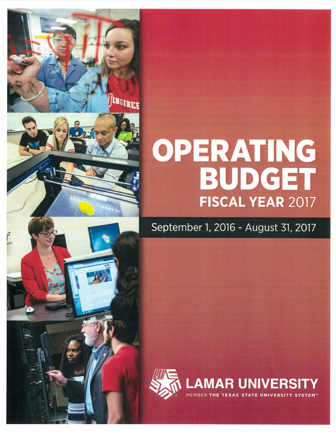# OPERATING **BUDGET** FISCAL YEAR 2017

ENGINEE

September 1, 2016 - August 31, 2017

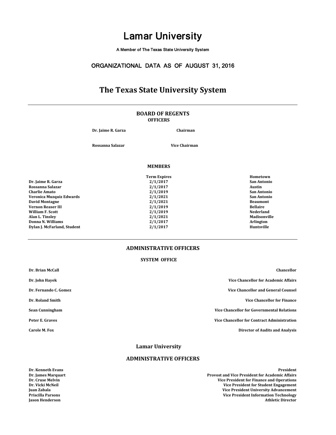A Member of The Texas State University System

### ORGANIZATIONAL DATA AS OF AUGUST 31, 2016

# **The Texas State University System**

#### **OFFICERS BOARD OF REGENTS**

**Dr. Jaime R. Garza Chairman**

**Rossanna Salazar Vice Chairman**

**Term Expires Hometown**

#### **MEMBERS**

**Dr. Jaime R. Garza 2/1/2017 2/1/2017 2018 2/1/2017 2/1/2017 2/1/2017 2/1/2017 2/1/2017 2/1/2017 2/1/2017 2/1/2017 2/1/2017 Rossanna Salazar 2/1/2017 Austin Charlie Amato 2/1/2019 San Antonio Veronica Muzquiz Edwards 2/1/2021 San Antonio David Montagne Beaumont Controllering in the Controllering of the Controllering of the Controllering in the Beaumont Controllering in the Controllering September 2/1/2019 <b>Bellaire Bellaire Bellaire Bellaire Bel Vernon Reaser III 2/1/2019 Bellaire William F. Scott 2/1/2019 Nederland Alan L. Tinsley 2/1/2021 Madisonville Donna N. Williams 2/1/2017 Arlington Dylan J. McFarland, Student** 

### **ADMINISTRATIVE OFFICERS**

#### **SYSTEM OFFICE**

| Dr. Brian McCall      | Chancellor                                         |
|-----------------------|----------------------------------------------------|
| Dr. John Hayek        | <b>Vice Chancellor for Academic Affairs</b>        |
| Dr. Fernando C. Gomez | <b>Vice Chancellor and General Counsel</b>         |
| Dr. Roland Smith      | <b>Vice Chancellor for Finance</b>                 |
| Sean Cunningham       | <b>Vice Chancellor for Governmental Relations</b>  |
| Peter E. Graves       | <b>Vice Chancellor for Contract Administration</b> |
| Carole M. Fox         | <b>Director of Audits and Analysis</b>             |
|                       | Lomon Huissandts                                   |

**Lamar University**

#### **ADMINISTRATIVE OFFICERS**

**Dr. Kenneth Evans President**

**Dr. James Marquart Provost and Vice President for Academic Affairs Dr. Cruse Melvin Vice President for Finance and Operations Dr. Vicki McNeil Vice President for Student Engagement Juan Zabala Vice President University Advancement Vice President Information Technology Jason Henderson Athletic Director**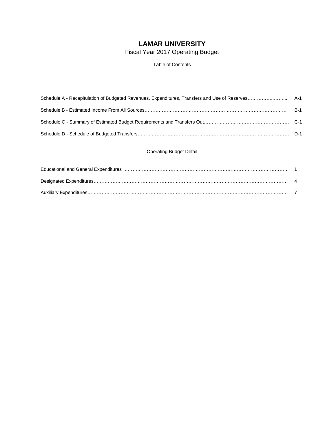# **LAMAR UNIVERSITY**

Fiscal Year 2017 Operating Budget

Table of Contents

### Operating Budget Detail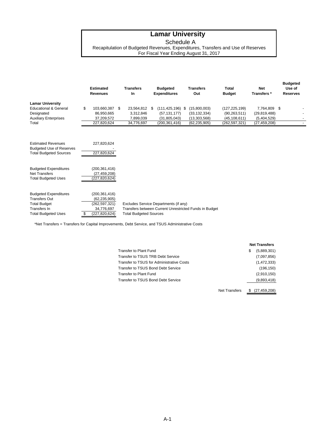Schedule A

Recapitulation of Budgeted Revenues, Expenditures, Transfers and Use of Reserves For Fiscal Year Ending August 31, 2017

|                                                                                                                           | <b>Estimated</b><br><b>Revenues</b>                                                     | <b>Transfers</b><br><b>In</b>                      |   | <b>Budgeted</b><br><b>Expenditures</b>                                  | <b>Transfers</b><br>Out                                          | <b>Total</b><br><b>Budget</b>                                        | <b>Net</b><br>Transfers*                                   | Use of<br><b>Reserves</b> |
|---------------------------------------------------------------------------------------------------------------------------|-----------------------------------------------------------------------------------------|----------------------------------------------------|---|-------------------------------------------------------------------------|------------------------------------------------------------------|----------------------------------------------------------------------|------------------------------------------------------------|---------------------------|
| <b>Lamar University</b><br><b>Educational &amp; General</b><br>Designated<br><b>Auxiliary Enterprises</b><br>Total        | \$<br>103,660,387 \$<br>86,950,665<br>37,209,572<br>227,820,624                         | 23,564,812<br>3,312,846<br>7,899,039<br>34,776,697 | S | $(111, 425, 196)$ \$<br>(57, 131, 177)<br>(31,805,043)<br>(200,361,416) | (15,800,003)<br>(33, 132, 334)<br>(13,303,568)<br>(62, 235, 905) | (127, 225, 199)<br>(90, 263, 511)<br>(45, 108, 611)<br>(262,597,321) | 7,764,809<br>(29, 819, 488)<br>(5,404,529)<br>(27,459,208) | -\$                       |
| <b>Estimated Revenues</b><br><b>Budgeted Use of Reserves</b><br><b>Total Budgeted Sources</b>                             | 227,820,624<br>227,820,624                                                              |                                                    |   |                                                                         |                                                                  |                                                                      |                                                            |                           |
| <b>Budgeted Expenditures</b><br><b>Net Transfers</b><br><b>Total Budgeted Uses</b>                                        | (200, 361, 416)<br>(27, 459, 208)<br>(227,820,624)                                      |                                                    |   |                                                                         |                                                                  |                                                                      |                                                            |                           |
| <b>Budgeted Expenditures</b><br><b>Transfers Out</b><br><b>Total Budget</b><br>Transfers In<br><b>Total Budgeted Uses</b> | \$<br>(200, 361, 416)<br>(62, 235, 905)<br>(262,597,321)<br>34,776,697<br>(227,820,624) | <b>Total Budgeted Sources</b>                      |   | Excludes Service Departments (if any)                                   | Transfers between Current Unrestricted Funds in Budget           |                                                                      |                                                            |                           |

\*Net Transfers = Transfers for Capital Improvements, Debt Service, and TSUS Administrative Costs

|                                           | <b>Net Transfers</b> |             |  |  |  |  |
|-------------------------------------------|----------------------|-------------|--|--|--|--|
| <b>Transfer to Plant Fund</b>             | S                    | (5,889,301) |  |  |  |  |
| Transfer to TSUS TRB Debt Service         |                      | (7,097,856) |  |  |  |  |
| Transfer to TSUS for Administrative Costs |                      | (1,472,333) |  |  |  |  |
| <b>Transfer to TSUS Bond Debt Service</b> |                      | (196, 150)  |  |  |  |  |
| <b>Transfer to Plant Fund</b>             |                      | (2,910,150) |  |  |  |  |
| <b>Transfer to TSUS Bond Debt Service</b> |                      | (9,893,418) |  |  |  |  |

\$ (27,459,208) Net Transfers

**Budgeted**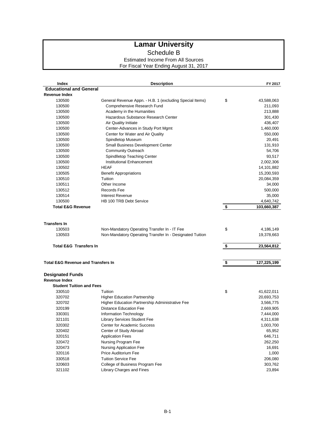Schedule B

### Estimated Income From All Sources For Fiscal Year Ending August 31, 2017

| Index                                           | <b>Description</b>                                                               | FY 2017           |
|-------------------------------------------------|----------------------------------------------------------------------------------|-------------------|
| <b>Educational and General</b>                  |                                                                                  |                   |
| <b>Revenue Index</b>                            |                                                                                  |                   |
| 130500                                          | General Revenue Appn. - H.B. 1 (excluding Special Items)                         | \$<br>43,588,063  |
| 130500                                          | Comprehensive Research Fund                                                      | 211,093           |
| 130500                                          | Academy in the Humanities                                                        | 213,888           |
| 130500                                          | Hazardous Substance Research Center                                              | 301,430           |
| 130500                                          | Air Quality Initiate                                                             | 436,407           |
| 130500                                          | Center-Advances in Study Port Mgmt                                               | 1,460,000         |
| 130500                                          | Center for Water and Air Quality                                                 | 550,000           |
| 130500                                          | Spindletop Museum                                                                | 20,491            |
| 130500                                          | Small Business Development Center                                                | 131,910           |
| 130500                                          | <b>Community Outreach</b>                                                        | 54,706            |
| 130500                                          | Spindlletop Teaching Center                                                      | 93,517            |
| 130500                                          | Institutional Enhancement                                                        | 2,002,306         |
| 130502                                          | <b>HEAF</b>                                                                      | 14,101,882        |
| 130505                                          | <b>Benefit Appropriations</b>                                                    | 15,200,593        |
| 130510                                          | Tuition                                                                          | 20,084,359        |
| 130511                                          | Other Income                                                                     | 34,000            |
| 130512                                          | Records Fee                                                                      | 500,000           |
| 130514                                          | Interest Revenue                                                                 | 35,000            |
| 130500                                          | HB 100 TRB Debt Service                                                          | 4,640,742         |
| <b>Total E&amp;G Revenue</b>                    |                                                                                  | \$<br>103,660,387 |
|                                                 |                                                                                  |                   |
|                                                 |                                                                                  |                   |
| <b>Transfers In</b>                             |                                                                                  |                   |
| 130503                                          | Non-Mandatory Operating Transfer In - IT Fee                                     | \$<br>4,186,149   |
| 130503                                          | Non-Mandatory Operating Transfer In - Designated Tuition                         | 19,378,663        |
| <b>Total E&amp;G Transfers In</b>               |                                                                                  | \$<br>23,564,812  |
|                                                 |                                                                                  |                   |
|                                                 |                                                                                  |                   |
| <b>Total E&amp;G Revenue and Transfers In</b>   |                                                                                  | \$<br>127,225,199 |
|                                                 |                                                                                  |                   |
| <b>Designated Funds</b><br><b>Revenue Index</b> |                                                                                  |                   |
| <b>Student Tuition and Fees</b>                 |                                                                                  |                   |
| 330510                                          | Tuition                                                                          |                   |
|                                                 |                                                                                  | \$<br>41,622,011  |
| 320702                                          | <b>Higher Education Partnership</b>                                              | 20,693,753        |
| 320702                                          | Higher Education Partnership Administrative Fee<br><b>Distance Education Fee</b> | 3,566,775         |
| 320199                                          |                                                                                  | 2,669,905         |
| 330301                                          | Information Technology                                                           | 7,444,000         |
| 321101                                          | <b>Library Services Student Fee</b>                                              | 4,311,638         |
| 320302                                          | Center for Academic Success                                                      | 1,003,700         |
| 320402                                          | Center of Study Abroad                                                           | 65,952            |
| 320151                                          | <b>Application Fees</b>                                                          | 646,711           |
| 320472                                          | Nursing Program Fee                                                              | 262,250           |
| 320473                                          | Nursing Application Fee                                                          | 16,691            |
| 320116                                          | Price Auditorium Fee                                                             | 1,000             |
| 330518                                          | <b>Tuition Service Fee</b>                                                       | 206,080           |
| 320603                                          | College of Business Program Fee                                                  | 303,762           |
| 321102                                          | Library Charges and Fines                                                        | 23,894            |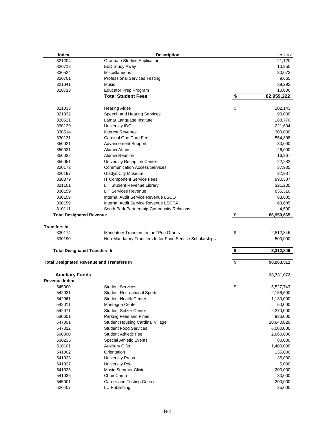| Index                                | <b>Description</b>                                       | FY 2017          |
|--------------------------------------|----------------------------------------------------------|------------------|
| 321204                               | <b>Graduate Studies Application</b>                      | 21,120           |
| 320713                               | <b>EdD Study Away</b>                                    | 10,950           |
| 330524                               | Miscellaneous                                            | 30,073           |
| 320701                               | <b>Professional Services Testing</b>                     | 9,665            |
| 321041                               | <b>Music</b>                                             | 39,292           |
| 320713                               | <b>Educator Prep Program</b>                             | 10,000           |
|                                      | <b>Total Student Fees</b>                                | \$<br>82,959,222 |
| 321033                               | <b>Hearing Aides</b>                                     | \$<br>202,143    |
| 321032                               | Speech and Hearing Services                              | 90,000           |
| 320521                               | Lamar Language Institute                                 | 188,770          |
| 330139                               | University IDC                                           | 221,604          |
| 330514                               | Interest Revenue                                         | 300,000          |
| 330131                               | Cardinal One Card Fee                                    | 554,898          |
| 350021                               | <b>Advancement Support</b>                               | 30,000           |
| 350031                               | Alumni Affairs                                           | 26,000           |
| 350032                               | Alumni Reunion                                           | 16,267           |
| 350051                               | University Reception Center                              | 22,282           |
| 320172                               | <b>Communication Access Services</b>                     | 37,935           |
| 320197                               | <b>Gladys City Museum</b>                                | 22,987           |
| 330379                               | IT Component Service Fees                                | 990,307          |
| 321101                               | LIT Student Revenue Library                              | 321,230          |
| 330159                               | <b>LIT Services Revenue</b>                              | 835,310          |
| 330159                               | Internal Audit Service Revenue LSCO                      | 63,605           |
| 330159                               | Internal Audit Service Revenue LSCPA                     | 63,605           |
| 310111                               | South Park Partnership-Community Relations               | 4,500            |
| <b>Total Designated Revenue</b>      |                                                          | \$<br>86,950,665 |
| <b>Transfers In</b>                  |                                                          |                  |
| 330174                               | Mandatory Transfers In for TPeg Grants                   | \$<br>2,812,846  |
| 330190                               | Non-Mandatory Transfers In for Food Service Scholarships | 500,000          |
| <b>Total Designated Transfers In</b> |                                                          | \$<br>3,312,846  |
|                                      |                                                          |                  |
|                                      | <b>Total Designated Revenue and Transfers In</b>         | \$<br>90,263,511 |
| <b>Auxiliary Funds</b>               |                                                          | 33,731,072       |
| <b>Revenue Index</b>                 |                                                          |                  |
| 545000                               | <b>Student Services</b>                                  | \$<br>5,527,743  |
| 542031                               | <b>Student Recreational Sports</b>                       | 2,156,500        |
| 542061                               | Student Health Center                                    | 1,130,000        |
| 542011                               | Montagne Center                                          | 50,000           |
| 542071                               | <b>Student Setzer Center</b>                             | 2,270,000        |
| 530601                               | Parking Fees and Fines                                   | 936,000          |
| 547001                               | <b>Student Housing Cardinal Village</b>                  | 10,840,829       |
| 547012                               | <b>Student Food Services</b>                             | 6,000,000        |
| 560000                               | <b>Student Athletic Fee</b>                              | 2,660,000        |
| 530235                               | Special Athletic Events                                  | 80,000           |
| 510101                               | <b>Auxiliary Gifts</b>                                   | 1,400,000        |
| 541002                               | Orientation                                              | 135,000          |
| 541023                               | <b>University Press</b>                                  | 35,000           |
| 541027                               | <b>University Pool</b>                                   | 5,000            |
| 541035                               | <b>Music Summer Clinic</b>                               | 200,000          |
| 541036                               | Choir Camp                                               | 80,000           |
| 545001                               | Career and Testing Center                                | 200,000          |
| 520407                               | LU Publishing                                            | 25,000           |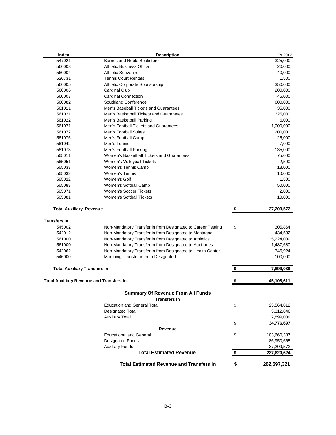| Index                                           | <b>Description</b>                                          |                           | FY 2017                   |
|-------------------------------------------------|-------------------------------------------------------------|---------------------------|---------------------------|
| 547021                                          | Barnes and Noble Bookstore                                  |                           | 325,000                   |
| 560003                                          | <b>Athletic Business Office</b>                             |                           | 20,000                    |
| 560004                                          | <b>Athletic Souvenirs</b>                                   |                           | 40,000                    |
| 520731                                          | <b>Tennis Court Rentals</b>                                 |                           | 1,500                     |
| 560005                                          | Athletic Corporate Sponsorship                              |                           | 350,000                   |
| 560006                                          | <b>Cardinal Club</b>                                        |                           | 200,000                   |
| 560007                                          | <b>Cardinal Connection</b>                                  |                           | 45,000                    |
| 560082                                          | Southland Conference                                        |                           | 600,000                   |
| 561011                                          | Men's Baseball Tickets and Guarantees                       |                           | 35,000                    |
| 561021                                          | Men's Basketball Tickets and Guarantees                     |                           | 325,000                   |
| 561022                                          | Men's Basketball Parking                                    |                           | 6,000                     |
| 561071                                          | Men's Football Tickets and Guarantees                       |                           | 1,000,000                 |
| 561072                                          | Men's Football Suites                                       |                           | 200,000                   |
| 561075                                          | Men's Football Camp                                         |                           | 25,000                    |
| 561042                                          | Men's Tennis                                                |                           | 7,000                     |
| 561073                                          | Men's Football Parking                                      |                           | 135,000                   |
| 565011                                          | Women's Basketball Tickets and Guarantees                   |                           | 75,000                    |
| 565051                                          | Women's Volleyball Tickets                                  |                           | 2,500                     |
| 565033                                          | Women's Tennis Camp                                         |                           | 13,000                    |
| 565032                                          | <b>Women's Tennis</b>                                       |                           | 10,000                    |
| 565022                                          | Women's Golf                                                |                           | 1,500                     |
| 565083                                          | Women's Softball Camp                                       |                           | 50,000                    |
| 565071                                          | <b>Women's Soccer Tickets</b>                               |                           | 2,000                     |
| 565081                                          | <b>Women's Softball Tickets</b>                             |                           | 10,000                    |
| <b>Total Auxiliary Revenue</b>                  |                                                             | \$                        | 37,209,572                |
| <b>Transfers In</b>                             |                                                             |                           |                           |
| 545002                                          | Non-Mandatory Transfer in from Designated to Career Testing | \$                        | 305,864                   |
| 542012                                          | Non-Mandatory Transfer in from Designated to Montagne       |                           | 434,532                   |
| 561000                                          | Non-Mandatory Transfer in from Designated to Athletics      |                           | 5,224,039                 |
| 561000                                          | Non-Mandatory Transfer in from Designated to Auxiliaries    |                           | 1,487,680                 |
| 542062                                          | Non-Mandatory Transfer in from Designated to Health Center  |                           | 346,924                   |
| 546000                                          | Marching Transfer in from Designated                        |                           | 100,000                   |
| <b>Total Auxiliary Transfers In</b>             |                                                             | \$                        | 7,899,039                 |
| <b>Total Auxiliary Revenue and Transfers In</b> |                                                             | \$                        | 45,108,611                |
|                                                 |                                                             |                           |                           |
|                                                 | <b>Summary Of Revenue From All Funds</b>                    |                           |                           |
|                                                 | Transters In<br><b>Education and General Total</b>          |                           |                           |
|                                                 |                                                             | \$                        | 23,564,812                |
|                                                 | <b>Designated Total</b>                                     |                           | 3,312,846                 |
|                                                 | <b>Auxiliary Total</b>                                      |                           | 7,899,039                 |
|                                                 | Revenue                                                     | $\boldsymbol{\mathsf{s}}$ | 34,776,697                |
|                                                 | <b>Educational and General</b>                              | \$                        |                           |
|                                                 |                                                             |                           | 103,660,387               |
|                                                 | <b>Designated Funds</b>                                     |                           | 86,950,665                |
|                                                 | <b>Auxiliary Funds</b><br><b>Total Estimated Revenue</b>    | \$                        | 37,209,572<br>227,820,624 |
|                                                 |                                                             |                           |                           |
|                                                 | <b>Total Estimated Revenue and Transfers In</b>             | \$                        | 262,597,321               |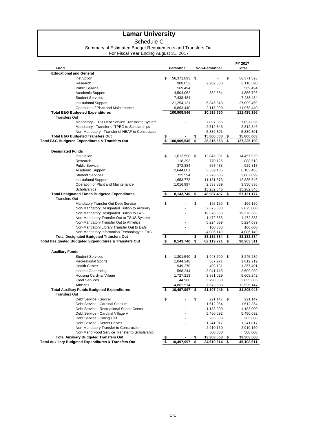Schedule C

#### Summary of Estimated Budget Requirements and Transfers Out

For Fiscal Year Ending August 31, 2017

|                                                                                                  |                      |                               | FY 2017                       |
|--------------------------------------------------------------------------------------------------|----------------------|-------------------------------|-------------------------------|
| Fund                                                                                             | Personnel            | Non-Personnel                 | Total                         |
| <b>Educational and General</b>                                                                   |                      |                               |                               |
| Instruction                                                                                      | \$<br>56,371,893     | \$                            | \$<br>56,371,893              |
| Research                                                                                         | 908,052              | 2,202,638                     | 3,110,690                     |
| <b>Public Service</b>                                                                            | 569,494              |                               | 569,494                       |
| Academic Support                                                                                 | 4,504,062            | 352,664                       | 4,856,726                     |
| <b>Student Services</b>                                                                          | 7,438,484            |                               | 7,438,484                     |
| <b>Institutional Support</b>                                                                     | 21,254,121           | 5,845,348                     | 27,099,469                    |
| Operation of Plant and Maintenance                                                               | 9,863,440            | 2,115,000                     | 11,978,440                    |
| <b>Total E&amp;G Budgeted Expenditures</b>                                                       | 100,909,546          | 10,515,650                    | 111,425,196                   |
| <b>Transfers Out</b>                                                                             |                      |                               |                               |
| Mandatory - TRB Debt Service Transfer to System                                                  |                      | 7,097,856                     | 7,097,856                     |
| Mandatory - Transfer of TPEG to Scholarships<br>Non-Mandatory - Transfer of HEAF to Construction |                      | 2,812,846                     | 2,812,846                     |
| <b>Total E&amp;G Budgeted Transfers Out</b>                                                      | \$<br>$\overline{a}$ | \$<br>5,889,301<br>15,800,003 | \$<br>5,889,301<br>15,800,003 |
| <b>Total E&amp;G Budgeted Expenditures &amp; Transfers Out</b>                                   | \$<br>100,909,546    | \$<br>26,315,653              | \$<br>127,225,199             |
|                                                                                                  |                      |                               |                               |
| <b>Designated Funds</b>                                                                          |                      |                               |                               |
| Instruction                                                                                      | \$<br>1,612,598      | \$<br>12,845,331              | \$<br>14,457,929              |
| Research                                                                                         | 118,393              | 770,125                       | 888,518                       |
| <b>Public Service</b>                                                                            | 372,384              | 557,433                       | 929,817                       |
| Academic Support                                                                                 | 2,644,001            | 3,539,485                     | 6,183,486                     |
| <b>Student Services</b>                                                                          | 725,594              | 2,276,505                     | 3,002,099                     |
| <b>Institutional Support</b>                                                                     | 1,653,773            | 11,181,873                    | 12,835,646                    |
| Operation of Plant and Maintenance                                                               | 1,016,997            | 2,533,839                     | 3,550,836                     |
| Scholarships                                                                                     |                      | 15,282,846                    | 15,282,846                    |
| <b>Total Designated Funds Budgeted Expenditures</b>                                              | \$<br>8,143,740      | \$<br>48,987,437              | \$<br>57,131,177              |
| <b>Transfers Out</b>                                                                             |                      |                               |                               |
| Mandatory Transfer Out Debt Service                                                              | \$                   | \$<br>196,150                 | \$<br>196,150                 |
| Non-Mandatory Designated Tuition to Auxiliary                                                    |                      | 2,675,000                     | 2,675,000                     |
| Non-Mandatory Designated Tuition to E&G                                                          |                      | 19,378,663                    | 19,378,663                    |
| Non-Mandatory Transfer Out to TSUS System                                                        |                      | 1,472,333                     | 1,472,333                     |
| Non-Mandatory Transfer Out to Athletics                                                          |                      | 5,224,039                     | 5,224,039                     |
| Non-Mandatory Library Transfer Out to E&G                                                        | ä,                   | 100,000                       | 100,000                       |
| Non-Mandatory Information Technology to E&G                                                      |                      | 4,086,149                     | 4,086,149                     |
| <b>Total Designated Budgeted Transfers Out</b>                                                   | \$<br>$\overline{a}$ | \$<br>33,132,334              | \$<br>33,132,334              |
| Total Designated Budgeted Expenditures & Transfers Out                                           | \$<br>8,143,740      | \$<br>82,119,771              | \$<br>90,263,511              |
| <b>Auxiliary Funds</b>                                                                           |                      |                               |                               |
| <b>Student Services</b>                                                                          | \$<br>1,301,540      | \$<br>1,943,699               | \$<br>3,245,239               |
| <b>Recreational Sports</b>                                                                       | 1,044,248            | 567,971                       | 1,612,219                     |
| <b>Health Center</b>                                                                             | 949,270              | 408,131                       | 1,357,401                     |
| Income Generating                                                                                | 568,244              | 3,041,745                     | 3,609,989                     |
| <b>Housing Cardinal Village</b>                                                                  | 1,727,213            | 3,881,029                     | 5,608,242                     |
| <b>Food Services</b>                                                                             | 44,968               | 3,790,838                     | 3,835,806                     |
| Athletics                                                                                        | 4,862,514            | 7,673,633                     | 12,536,147                    |
| <b>Total Auxiliary Funds Budgeted Expenditures</b>                                               | \$<br>10,497,997     | \$<br>21,307,046              | \$<br>31,805,043              |
| <b>Transfers Out</b>                                                                             |                      |                               |                               |
| Debt Service - Soccer                                                                            | \$                   | \$<br>221,147                 | \$<br>221,147                 |
| Debt Service - Cardinal Stadium                                                                  |                      | 1,512,354                     | 1,512,354                     |
| Debt Service - Recreational Sports Center                                                        |                      | 1,183,000                     | 1,183,000                     |
| Debt Service - Cardinal Village V                                                                |                      | 5,450,092                     | 5,450,092                     |
| Debt Service - Dining Hall                                                                       |                      | 285,808                       | 285,808                       |
| Debt Service - Setzer Center                                                                     |                      | 1,241,017                     | 1,241,017                     |
| Non-Mandatory Transfer to Construction                                                           |                      | 2,910,150                     | 2,910,150                     |
| Non-Mand Food Service Transfer to Scholarship                                                    |                      | 500,000                       | 500,000                       |
| <b>Total Auxiliary Budgeted Transfers Out</b>                                                    | \$<br>$\blacksquare$ | \$<br>13,303,568              | \$<br>13,303,568              |
| <b>Total Auxiliary Budgeted Expenditures &amp; Transfers Out</b>                                 | \$<br>10,497,997     | \$<br>34,610,614              | \$<br>45,108,611              |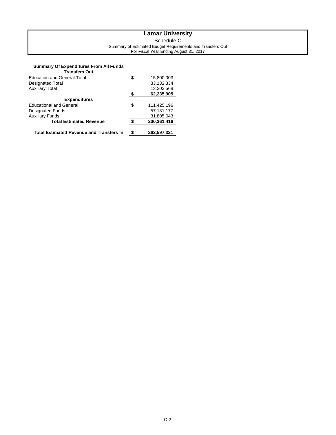### **Lamar University** Schedule C Summary of Estimated Budget Requirements and Transfers Out For Fiscal Year Ending August 31, 2017

### **Summary Of Expenditures From All Funds**

| Transfers Out                                   |                   |
|-------------------------------------------------|-------------------|
| <b>Education and General Total</b>              | \$<br>15,800,003  |
| <b>Designated Total</b>                         | 33,132,334        |
| <b>Auxiliary Total</b>                          | 13,303,568        |
|                                                 | \$<br>62,235,905  |
| <b>Expenditures</b>                             |                   |
| <b>Educational and General</b>                  | \$<br>111,425,196 |
| <b>Designated Funds</b>                         | 57,131,177        |
| <b>Auxiliary Funds</b>                          | 31,805,043        |
| <b>Total Estimated Revenue</b>                  | 200,361,416       |
|                                                 |                   |
| <b>Total Estimated Revenue and Transfers In</b> | \$<br>262,597,321 |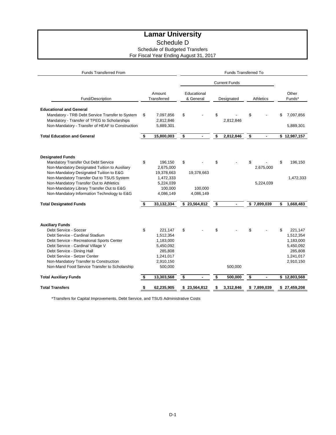Schedule D

Schedule of Budgeted Transfers

For Fiscal Year Ending August 31, 2017

| <b>Funds Transferred From</b>                                                                                                                                                                                                                                                                                                                  | <b>Funds Transferred To</b> |                                                                                                |    |                                    |    |                      |                  |                        |    |                                                                                     |
|------------------------------------------------------------------------------------------------------------------------------------------------------------------------------------------------------------------------------------------------------------------------------------------------------------------------------------------------|-----------------------------|------------------------------------------------------------------------------------------------|----|------------------------------------|----|----------------------|------------------|------------------------|----|-------------------------------------------------------------------------------------|
|                                                                                                                                                                                                                                                                                                                                                |                             |                                                                                                |    |                                    |    | <b>Current Funds</b> |                  |                        |    |                                                                                     |
| Fund/Description                                                                                                                                                                                                                                                                                                                               |                             | Amount<br>Transferred                                                                          |    | Educational<br>& General           |    | Designated           | <b>Athletics</b> |                        |    | Other<br>Funds*                                                                     |
| <b>Educational and General</b><br>Mandatory - TRB Debt Service Transfer to System<br>Mandatory - Transfer of TPEG to Scholarships<br>Non-Mandatory - Transfer of HEAF to Construction                                                                                                                                                          | \$                          | 7,097,856<br>2,812,846<br>5,889,301                                                            | \$ |                                    | \$ | 2,812,846            | \$               |                        | \$ | 7,097,856<br>5,889,301                                                              |
| <b>Total Education and General</b>                                                                                                                                                                                                                                                                                                             | \$                          | 15,800,003                                                                                     | \$ |                                    | \$ | 2,812,846            | \$               | ٠                      |    | \$12,987,157                                                                        |
| <b>Designated Funds</b><br>Mandatory Transfer Out Debt Service<br>Non-Mandatory Designated Tuition to Auxiliary<br>Non-Mandatory Designated Tuition to E&G<br>Non-Mandatory Transfer Out to TSUS System<br>Non-Mandatory Transfer Out to Athletics<br>Non-Mandatory Library Transfer Out to E&G<br>Non-Mandatory Information Technology to E&G | \$                          | 196,150<br>2,675,000<br>19,378,663<br>1,472,333<br>5,224,039<br>100,000<br>4,086,149           | \$ | 19,378,663<br>100,000<br>4,086,149 | \$ |                      | \$               | 2,675,000<br>5,224,039 | \$ | 196,150<br>1,472,333                                                                |
| <b>Total Designated Funds</b>                                                                                                                                                                                                                                                                                                                  | \$                          | 33,132,334                                                                                     |    | \$23,564,812                       | \$ |                      |                  | \$7,899,039            | \$ | 1,668,483                                                                           |
| <b>Auxiliary Funds</b><br>Debt Service - Soccer<br>Debt Service - Cardinal Stadium<br>Debt Service - Recreational Sports Center<br>Debt Service - Cardinal Village V<br>Debt Service - Dining Hall<br>Debt Service - Setzer Center<br>Non-Mandatory Transfer to Construction<br>Non-Mand Food Service Transfer to Scholarship                  | \$                          | 221,147<br>1,512,354<br>1,183,000<br>5,450,092<br>285,808<br>1,241,017<br>2,910,150<br>500,000 | \$ |                                    | \$ | 500,000              | \$               |                        | \$ | 221,147<br>1,512,354<br>1,183,000<br>5,450,092<br>285,808<br>1,241,017<br>2,910,150 |
| <b>Total Auxiliary Funds</b>                                                                                                                                                                                                                                                                                                                   | \$                          | 13,303,568                                                                                     | \$ |                                    | \$ | 500,000              | \$               | ٠                      |    | \$12,803,568                                                                        |
| <b>Total Transfers</b>                                                                                                                                                                                                                                                                                                                         | \$                          | 62,235,905                                                                                     |    | \$23,564,812                       | \$ | 3,312,846            |                  | \$7,899,039            |    | \$27,459,208                                                                        |

\*Transfers for Capital Improvements, Debt Service, and TSUS Administrative Costs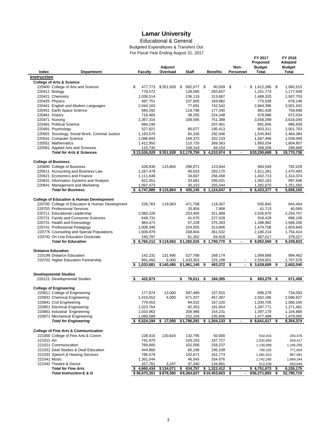### Educational & General

Budgeted Expenditures & Transfers Out For Fiscal Year Ending August 31, 2017

l,

|                    |                                                                  | $\frac{1}{2}$ room is called the compact. | Adjunct   |                       |                       | Non-                 | FY 2017<br>Proposed<br><b>Budget</b> |     | FY 2016<br>Adopted<br><b>Budget</b> |
|--------------------|------------------------------------------------------------------|-------------------------------------------|-----------|-----------------------|-----------------------|----------------------|--------------------------------------|-----|-------------------------------------|
| Index              | Department                                                       | <b>Faculty</b>                            | Overload  | Staff                 | <b>Benefits</b>       | Personnel            | Total                                |     | <b>Total</b>                        |
| <b>Instruction</b> |                                                                  |                                           |           |                       |                       |                      |                                      |     |                                     |
|                    | <b>College of Arts &amp; Science</b>                             |                                           |           |                       |                       |                      |                                      |     |                                     |
|                    | 220400 College of Arts and Science                               | \$<br>477.773<br>778,572                  | \$351,928 | \$<br>692,077 \$      | 90,509<br>283,607     | \$                   | \$1,612,286                          | -\$ | 1,060,515                           |
|                    | 220411 Biology                                                   | 1,038,514                                 |           | 139,595<br>136,119    | 313,687               |                      | 1,201,774                            |     | 1,177,939                           |
|                    | 220421 Chemistry<br>220425 Physics                               | 497,751                                   |           | 107,805               | 169,982               |                      | 1,488,320<br>775,538                 |     | 1,507,703<br>678,148                |
|                    | 220441 English and Modern Languages                              | 2,044,163                                 |           | 77,691                | 742,542               |                      | 2,864,396                            |     | 3,001,932                           |
|                    | 220451 Earth Space Science                                       | 584,292                                   |           | 119,796               | 177,340               |                      | 881,428                              |     | 759,698                             |
| 220461 History     |                                                                  | 716,483                                   |           | 38,265                | 224,248               |                      | 978,996                              |     | 972,034                             |
|                    | 220471 Nursing                                                   | 2,367,316                                 |           | 339,595               | 751,388               |                      | 3,458,299                            |     | 3,616,049                           |
|                    | 220481 Political Science                                         | 684,195                                   |           |                       | 207,461               |                      | 891,656                              |     | 886,839                             |
|                    | 220491 Psychology                                                | 527,821                                   |           | 80,077                | 195,413               |                      | 803,311                              |     | 1,001,753                           |
|                    | 220501 Sociology, Social Work, Criminal Justice                  | 1,193,570                                 |           | 60,326                | 292,046               |                      | 1,545,942                            |     | 1,464,384                           |
|                    | 220541 Computer Science                                          | 1,086,893                                 |           | 168,373               | 332,233               |                      | 1,587,499                            |     | 1,539,069                           |
|                    | 220551 Mathematics                                               | 1,412,950                                 |           | 110,720               | 369,363               |                      | 1,893,034                            |     | 1,804,807                           |
|                    | 220561 Applied Arts and Sciences                                 | 115,735                                   |           | 108,319               | 84,154                |                      | 308,208                              |     | 299,868                             |
|                    | <b>Total for Arts &amp; Sciences</b>                             | \$13,526,028                              | \$351,928 | \$2,178,759           | \$<br>4,233,974       | \$                   | \$20,290,688                         | \$  | 19,770,738                          |
|                    | <b>College of Business</b>                                       |                                           |           |                       |                       |                      |                                      |     |                                     |
|                    | 220600 College of Business                                       | 428,830                                   | 115,804   | 296,071               | 123,844               |                      | 964,549                              |     | 792,029                             |
|                    | 220611 Accounting and Business Law                               | 1,287,478                                 |           | 40,633                | 283,170               |                      | 1,611,281                            |     | 1,470,493                           |
|                    | 220621 Economics and Finance                                     | 1,111,648                                 |           | 34,607                | 256,458               |                      | 1,402,713                            |     | 1,314,374                           |
|                    | 220631 Information Systems and Analysis                          | 822,451                                   |           | 33,681                | 206,031               |                      | 1,062,163                            |     | 997,646                             |
|                    | 220641 Management and Marketing                                  | 1,097,473                                 |           | 30,153                | 255,044               |                      | 1,382,670                            |     | 1,251,560                           |
|                    | <b>Total for Business</b>                                        | 4,747,880                                 | \$115,804 | \$<br>435,145         | \$1,124,547           | \$                   | \$6,423,377                          | \$  | 5,826,102                           |
|                    |                                                                  |                                           |           |                       |                       |                      |                                      |     |                                     |
|                    | <b>College of Education &amp; Human Development</b>              |                                           |           |                       |                       |                      |                                      |     |                                     |
|                    | 220700 College of Education & Human Development                  | 226,763                                   | 119,063   | 471,708               | 118,307               |                      | 935,840                              |     | 844,454                             |
|                    | 220703 Professional Services                                     |                                           |           | 33,804                | 7,908                 |                      | 41,713                               |     | 40,069                              |
|                    | 220711 Educational Leadership                                    | 2,060,226                                 |           | 253,455               | 321,989               |                      | 2,635,670                            |     | 2,254,707                           |
|                    | 220721 Family and Consumer Sciences                              | 649,731                                   |           | 41,670                | 227,028               |                      | 918,428                              |     | 898,106                             |
|                    | 220731 Health and Kinesiology                                    | 964,471                                   |           | 57,228                | 375,283               |                      | 1,396,982                            |     | 1,568,206                           |
|                    | 220741 Professional Pedagogy                                     | 1,008,346                                 |           | 154,555               | 313,806               |                      | 1,476,706                            |     | 1,603,840                           |
|                    | 220776 Counseling and Special Populations                        | 1,609,878                                 |           | 208,804               | 361,532               |                      | 2,180,214                            |     | 1,754,414                           |
|                    | 220742 On Line Education Doctorate<br><b>Total for Education</b> | 240,797<br>6,760,212                      | \$119,063 | 61,302<br>\$1,282,525 | 64,918<br>\$1,790,770 | \$<br>$\blacksquare$ | 367,017<br>\$9,952,569               | \$  | 376,027<br>9,339,823                |
|                    |                                                                  |                                           |           |                       |                       |                      |                                      |     |                                     |
|                    | <b>Distance Education</b>                                        |                                           |           |                       |                       |                      |                                      |     |                                     |
|                    | 220199 Distance Education                                        | 142,231                                   | 131,495   | 527,788               | 268,174               |                      | 1,069,688                            |     | 894,462                             |
|                    | 220702 Higher Education Partnership                              | 891,450                                   | 9,000     | 1,433,353             | 225,198               |                      | 2,559,001                            |     | 1,707,578                           |
|                    |                                                                  | 1,033,681                                 | \$140,495 | \$1,961,140           | \$<br>493,372         | \$                   | \$<br>3,628,689                      | \$  | 2,602,040                           |
|                    |                                                                  |                                           |           |                       |                       |                      |                                      |     |                                     |
|                    | <b>Developmental Studies</b>                                     |                                           |           |                       |                       |                      |                                      |     |                                     |
|                    | 220121 Developmental Studies                                     | 422,873                                   |           | \$<br>76,011          | \$<br>184,395         |                      | 683,279<br>\$                        | \$  | 671,458                             |
|                    |                                                                  |                                           |           |                       |                       |                      |                                      |     |                                     |
|                    | <b>College of Engineering</b>                                    |                                           |           |                       |                       |                      |                                      |     |                                     |
|                    | 220811 College of Engineering                                    | 177,874                                   | 13,000    | 597,489<br>671,327    | 107,915               |                      | 896,278                              |     | 734,093                             |
|                    | 220831 Chemical Engineering                                      | 1,419,552                                 | 4,000     |                       | 457,307               |                      | 2,552,186                            |     | 2,696,827                           |
|                    | 220841 Civil Engineering<br>220851 Electrical Engineering        | 779,453<br>1,023,764                      |           | 84,032<br>82,353      | 167,220<br>181,654    |                      | 1,030,705<br>1,287,771               |     | 1,068,100<br>1,271,481              |
|                    | 220861 Industrial Engineering                                    | 1,033,962                                 |           | 208,986               | 154,231               |                      | 1,397,179                            |     | 1,104,868                           |
|                    | 220871 Mechanical Engineering                                    | 1,089,589                                 |           | 152,104               | 235,806               |                      | 1,477,499                            |     | 1,479,005                           |
|                    | <b>Total for Engineering</b>                                     | \$5,524,194                               | \$17,000  | \$1,796,291           | \$1,304,133           | \$                   | \$8,641,617                          | \$  | 8,354,374                           |
|                    |                                                                  |                                           |           |                       |                       |                      |                                      |     |                                     |
|                    | <b>College of Fine Arts &amp; Communication</b>                  |                                           |           |                       |                       |                      |                                      |     |                                     |
|                    | 221000 College of Fine Arts & Comm                               | 228,415                                   | 130,824   | 132,795               | 50,000                |                      | 542,034                              |     | 200,476                             |
| 221011 Art         |                                                                  | 741,970                                   |           | 103,153               | 187,727               |                      | 1,032,850                            |     | 918,417                             |
|                    | 221021 Communication                                             | 769,805                                   |           | 102,056               | 258,237               |                      | 1,130,098                            |     | 1,106,205                           |
|                    | 221031 Deaf Studies & Deaf Education                             | 444,860                                   |           | 60,196                | 195,109               |                      | 700,165                              |     | 771,004                             |
|                    | 221032 Speech & Hearing Services                                 | 786,579                                   |           | 142,671               | 161,773               |                      | 1,091,023                            |     | 867,081                             |
| 221041 Music       |                                                                  | 1,361,044                                 |           | 46,545                | 334,676               |                      | 1,742,265                            |     | 1,669,344                           |
|                    | 221042 Theatre & Dance                                           | 327,761                                   | 3,247     | 47,340                | 134,891               |                      | 513,239                              |     | 693,648                             |
|                    | <b>Total for Fine Arts</b>                                       | \$4,660,434                               | \$134,071 | \$<br>634,757         | \$1,322,412           | \$<br>٠              | \$6,751,673                          | \$  | 6,226,175                           |
|                    | Total Instruction-E & G                                          | \$36,675,301                              | \$878,360 | \$8,364,627           | $$10,453,603$ \$      |                      | \$56,371,893                         | \$  | 52,790,710                          |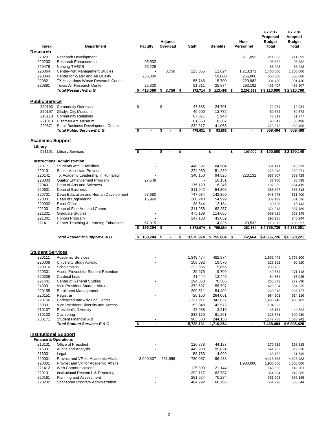| Index                                                           | Department                                                          | <b>Faculty</b>       | Adjunct<br>Overload  | <b>Staff</b>             | <b>Benefits</b>        | Non-<br>Personnel       | FY 2017<br>Proposed<br><b>Budget</b><br><b>Total</b> | FY 2016<br>Adopted<br><b>Budget</b><br><b>Total</b> |
|-----------------------------------------------------------------|---------------------------------------------------------------------|----------------------|----------------------|--------------------------|------------------------|-------------------------|------------------------------------------------------|-----------------------------------------------------|
| <u>Research</u>                                                 |                                                                     |                      |                      |                          |                        |                         |                                                      |                                                     |
| 220201                                                          | <b>Research Development</b>                                         |                      |                      |                          |                        | 211,093                 | 211,093                                              | 211,093                                             |
| 220203                                                          | <b>Research Ehhancement</b>                                         | 95,532               |                      |                          |                        |                         | 95,532                                               | 95,532                                              |
| 220478                                                          | Nursing-THECB                                                       | 56,228               |                      |                          |                        |                         | 56,228                                               | 56,228                                              |
| 220864                                                          | Center-Port Management Studies                                      |                      | 8,750                | 225,055                  | 12,824                 | 1,213,371               | 1,460,000                                            | 1,260,000                                           |
| 220843                                                          | Center for Water and Air Quality                                    | 236,000              |                      |                          | 59,000                 | 255,000                 | 550,000                                              | 550,000                                             |
| 220821                                                          | TX Hazardous Waste Research Center                                  |                      |                      | 55,748                   | 15,700                 | 229,982                 | 301,430                                              | 301,430                                             |
| 220881                                                          | Texas Air Research Center<br><b>Total Research-E &amp; G</b>        | 25,330               |                      | 91,911                   | 25,974                 | 293,192                 | 436,407                                              | 436,507                                             |
|                                                                 |                                                                     | \$<br>413,090        | \$<br>8,750          | \$<br>372,714            | \$<br>113,498          | \$<br>2,202,638         | \$3,110,690                                          | \$2,910,790                                         |
|                                                                 |                                                                     |                      |                      |                          |                        |                         |                                                      |                                                     |
| <b>Public Service</b>                                           |                                                                     |                      |                      |                          |                        |                         |                                                      |                                                     |
| 220193                                                          | <b>Community Outreach</b>                                           | \$<br>٠              | \$                   | 47,383                   | 24,701                 |                         | 72,084                                               | 72,084                                              |
| 220197                                                          | Gladys City Museum                                                  |                      |                      | 46,900                   | 13,772                 |                         | 60,672                                               | 59,672                                              |
| 210110                                                          | <b>Community Relations</b>                                          |                      |                      | 67,371                   | 5,948                  |                         | 73,319                                               | 71,777                                              |
| 221013<br>220671                                                | Dishman Art Museum<br>Small Business Development Center             |                      |                      | 81,660                   | 8,387                  |                         | 90,047                                               | 86,498                                              |
|                                                                 | <b>Total Public Service-E &amp; G</b>                               | \$<br>$\overline{a}$ | \$                   | \$<br>232,317<br>475,631 | 41,055<br>93,863<br>\$ | \$                      | 273,372<br>\$<br>569,494                             | 269,468<br>\$<br>559,499                            |
|                                                                 |                                                                     |                      |                      |                          |                        |                         |                                                      |                                                     |
| <b>Academic Support</b>                                         |                                                                     |                      |                      |                          |                        |                         |                                                      |                                                     |
| Library                                                         |                                                                     |                      |                      |                          |                        |                         |                                                      |                                                     |
| 921101                                                          | <b>Library Services</b>                                             | \$<br>$\blacksquare$ | \$<br>$\blacksquare$ | \$<br>$\blacksquare$     | \$<br>$\blacksquare$   | \$<br>100,000           | 100,000<br>\$                                        | \$2,190,140                                         |
|                                                                 | <b>Instructional Administration</b>                                 |                      |                      |                          |                        |                         |                                                      |                                                     |
| 220171                                                          | <b>Students with Disabilities</b>                                   |                      |                      | 446.607                  | 84,504                 |                         | 531,111                                              | 516,339                                             |
| 220101                                                          | Senior Associate Provost                                            |                      |                      | 224,960                  | 51,289                 |                         | 276,249                                              | 269,271                                             |
| 220141                                                          | TX Academy Leadership In Humanity                                   |                      |                      | 340,150                  | 94,525                 | 223,132                 | 657,807                                              | 389,429                                             |
| 220303                                                          | Quality Enhancement Program                                         | 27,549               |                      |                          | 10,151                 |                         | 37,700                                               | 36,898                                              |
| 220401                                                          | Dean of Arts and Sciences                                           |                      |                      | 176,120                  | 16,245                 |                         | 192,365                                              | 264,419                                             |
| 220601                                                          | Dean of Business                                                    |                      |                      | 311,042                  | 54,305                 |                         | 365,347                                              | 355,818                                             |
| 220701                                                          | Dean Education and Human Development                                | 57,680               |                      | 747,034                  | 143,360                |                         | 948,075                                              | 811,400                                             |
| 220801                                                          | Dean of Engineering                                                 | 16,960               |                      | 260,240                  | 54,999                 |                         | 332,199                                              | 331,626                                             |
| 220902                                                          | <b>Excet Office</b>                                                 |                      |                      | 38,544                   | 12,184                 |                         | 50,728                                               | 46,143                                              |
| 221001                                                          | Dean of Fine Arts and Comm                                          |                      |                      | 311,956                  | 62,257                 |                         | 374,213                                              | 357,789                                             |
| 221201                                                          | <b>Graduate Studies</b>                                             |                      |                      | 475,139                  | 114,686                |                         | 589,825                                              | 609,148                                             |
| 221301<br>221411                                                | Honors Program                                                      | 67,015               |                      | 247,183                  | 43,052<br>14,325       |                         | 290,235                                              | 240,244                                             |
|                                                                 | Center Teaching & Learning Enhancem                                 | \$<br>169,204        | \$                   | \$<br>3,578,974          | 755,884<br>\$          | \$<br>29,532<br>252,664 | 110,872<br>\$4,756,726                               | 109,557<br>\$4,338,081                              |
|                                                                 | Total Academic Support-E & G                                        | \$<br>169,204        | \$<br>$\blacksquare$ | \$<br>3,578,974          | \$755,884              | \$<br>352,664           | \$4,856,726                                          | \$6,528,221                                         |
|                                                                 |                                                                     |                      |                      |                          |                        |                         |                                                      |                                                     |
| <b>Student Services</b>                                         |                                                                     |                      |                      |                          |                        |                         |                                                      |                                                     |
| 220111                                                          | <b>Academic Services</b>                                            |                      |                      | 1,349,474                | 482,974                |                         | 1,832,448                                            | 1,778,300                                           |
| 220008                                                          | University Study Abroad                                             |                      |                      | 108,692                  | 19,570                 |                         | 128,262                                              | 90,820                                              |
| 220010                                                          | Scholarships                                                        |                      |                      | 222,836                  | 15,866                 |                         | 238,702                                              |                                                     |
| 220301                                                          | Assoc Provost for Student Retention                                 |                      |                      | 39,975                   | 9,709                  |                         | 49,684                                               | 271,118                                             |
| 220305                                                          | Cardinal Lead                                                       |                      |                      | 41,444                   | 13,440                 |                         | 54,884                                               | 53,025                                              |
| 221401                                                          | <b>Center of General Studies</b>                                    |                      |                      | 194,868                  | 70,505                 |                         | 265,373                                              | 277,390                                             |
| 240001                                                          | Vice President Student Affairs                                      |                      |                      | 372,537                  | 55,797                 |                         | 428,334                                              | 354,235                                             |
| 220155                                                          | <b>Enrollment Management</b>                                        |                      |                      | 209,511                  | 54,402                 |                         | 263,913                                              | 256,727                                             |
| 220151                                                          | Registrar                                                           |                      |                      | 720,150                  | 264,051                |                         | 984,201                                              | 914,116                                             |
| 220156                                                          | Undergraduate Advising Center                                       |                      |                      | 1,137,917                | 342,832                |                         | 1,480,748                                            | 1,430,703                                           |
| 260001<br>210107                                                | Vice President Diversity and Access<br><b>President's Diversity</b> |                      |                      | 152,048<br>42,938        | 42,573<br>3,216        |                         | 194,622<br>46,154                                    | 44,822                                              |
| 230132                                                          | Cashiering                                                          |                      |                      | 232,110                  | 91,261                 |                         | 323,371                                              | 300,230                                             |
| 230171                                                          | Student Financial Aid                                               |                      |                      | 903,630                  | 244,158                |                         | 1,147,788                                            | 1,033,942                                           |
|                                                                 | <b>Total Student Services-E &amp; G</b>                             | \$<br>$\blacksquare$ | $\blacksquare$       | 5,728,131                | 1,710,354              |                         | 7,438,484                                            | \$6,805,428                                         |
|                                                                 |                                                                     |                      |                      |                          |                        |                         |                                                      |                                                     |
| <b>Institutional Support</b><br><b>Finance &amp; Operations</b> |                                                                     |                      |                      |                          |                        |                         |                                                      |                                                     |
| 210101                                                          | Office of President                                                 |                      |                      | 126,778                  | 44,137                 |                         | 170,915                                              | 168,815                                             |
| 215001                                                          | <b>Audits and Analysis</b>                                          |                      |                      | 445,938                  | 95,824                 |                         | 541,762                                              | 519,320                                             |
| 216001                                                          | Legal                                                               |                      |                      | 58,783                   | 4,999                  |                         | 63,782                                               | 61,749                                              |
| 220001                                                          | Provost and VP for Academic Affairs                                 | 3,040,307            | 551,956              | 730,057                  | 96,438                 |                         | 4,418,758                                            | 4,623,433                                           |
| 920001                                                          | Provost and VP for Academic Affairs                                 |                      |                      |                          |                        | 1,900,000               | 1,900,000                                            | 1,600,000                                           |
| 221412                                                          | Web Communications                                                  |                      |                      | 125,809                  | 21,144                 |                         | 146,953                                              | 149,201                                             |
| 220131                                                          | Institutional Research & Reporting                                  |                      |                      | 292,117                  | 62,787                 |                         | 354,904                                              | 242,885                                             |
| 220161                                                          | Planning and Assessment                                             |                      |                      | 291,624                  | 70,284                 |                         | 361,908                                              | 352,185                                             |
| 220202                                                          | Sponsored Program Administration                                    |                      |                      | 464,292                  | 100,706                |                         | 564,998                                              | 583,644                                             |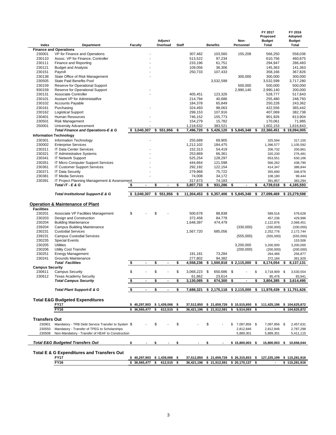| Index                  | Department                                         | <b>Faculty</b>                |                | Adjunct<br>Overload  | <b>Staff</b> |                          | <b>Benefits</b>                        | Non-<br>Personnel    | FY 2017<br>Proposed<br><b>Budget</b><br>Total |      | FY 2016<br>Adopted<br><b>Budget</b><br>Total |
|------------------------|----------------------------------------------------|-------------------------------|----------------|----------------------|--------------|--------------------------|----------------------------------------|----------------------|-----------------------------------------------|------|----------------------------------------------|
|                        | <b>Finance and Operations</b>                      |                               |                |                      |              |                          |                                        |                      |                                               |      |                                              |
| 230001                 | VP for Finance and Operations                      |                               |                |                      |              | 307,482                  | 103,560                                | 155,208              | 566,250                                       |      | 558,036                                      |
| 230110                 | Assoc. VP for Finance, Controller                  |                               |                |                      |              | 513,522                  | 97,234                                 |                      | 610,756                                       |      | 460,875                                      |
| 230111                 | Finance and Reporting                              |                               |                |                      |              | 233,196                  | 61,751                                 |                      | 294,947                                       |      | 286,483                                      |
| 230121                 | <b>Budget and Analysis</b>                         |                               |                |                      |              | 109,056                  | 36,306                                 |                      | 145,363                                       |      | 141,363                                      |
|                        |                                                    |                               |                |                      |              |                          |                                        |                      |                                               |      |                                              |
| 230151                 | Payroll                                            |                               |                |                      |              | 250,733                  | 107,433                                |                      | 358,166                                       |      | 367,826                                      |
| 230138                 | State Office of Risk Management                    |                               |                |                      |              |                          |                                        | 300,000              | 300,000                                       |      | 300,000                                      |
| 230505                 | <b>State Paid Benefits Pool</b>                    |                               |                |                      |              |                          | 3,532,599                              |                      | 3,532,599                                     |      | 3,717,280                                    |
| 230159                 | Reserve for Operational Support                    |                               |                |                      |              |                          |                                        | 500,000              | 500,000                                       |      | 500,000                                      |
| 930159                 | Reserve for Operational Support                    |                               |                |                      |              |                          |                                        | 2,990,140            | 2,990,140                                     |      | 200,000                                      |
| 230131                 | Associate Controller                               |                               |                |                      |              | 405,451                  |                                        |                      |                                               |      |                                              |
|                        |                                                    |                               |                |                      |              |                          | 123,326                                |                      | 528,777                                       |      | 517,843                                      |
| 230101                 | Asstant VP for Administatifve                      |                               |                |                      |              | 214,794                  | 40,686                                 |                      | 255,480                                       |      | 248,793                                      |
| 230102                 | <b>Accounts Payable</b>                            |                               |                |                      |              | 184,378                  | 65,849                                 |                      | 250,228                                       |      | 243,362                                      |
| 230161                 | Purchasing                                         |                               |                |                      |              | 324,493                  | 98,063                                 |                      | 422,556                                       |      | 365,442                                      |
| 230162                 | <b>Logistical Support</b>                          |                               |                |                      |              | 299,153                  | 107,916                                |                      | 407,069                                       |      | 382,738                                      |
| 230401                 | Human Resources                                    |                               |                |                      |              | 746,152                  | 155,773                                |                      | 901,926                                       |      | 813,904                                      |
|                        |                                                    |                               |                |                      |              |                          |                                        |                      |                                               |      |                                              |
| 230501                 | <b>Risk Management</b>                             |                               |                |                      |              | 154,279                  | 15,782                                 |                      | 170,061                                       |      | 71,985                                       |
| 250001                 | University Advancement                             |                               |                |                      |              | 1,218,632                | 383,521                                |                      | 1,602,153                                     |      | 1,616,843                                    |
|                        | Total Finance and Operations-E & G                 | \$3,040,307                   |                | \$<br>551,956        | \$           | 7,496,720                | \$5,426,120                            | \$5,845,348          | \$<br>22,360,451                              |      | \$19,094,005                                 |
|                        | <b>Information Technology</b>                      |                               |                |                      |              |                          |                                        |                      |                                               |      |                                              |
| 230301                 | Information Technology                             |                               |                |                      |              | 255,689                  | 69,905                                 |                      | 325,594                                       |      | 317,155                                      |
| 230002                 | <b>Enterprise Services</b>                         |                               |                |                      |              | 1,212,102                | 184,475                                |                      | 1,396,577                                     |      | 1,105,592                                    |
| 230311                 | <b>IT Data Center Services</b>                     |                               |                |                      |              | 152,313                  | 54,419                                 |                      | 206,732                                       |      | 200,861                                      |
| 230321                 | IT Administrative Systems                          |                               |                |                      |              | 253,869                  | 66,361                                 |                      | 320,230                                       |      | 276,481                                      |
|                        |                                                    |                               |                |                      |              |                          |                                        |                      |                                               |      |                                              |
| 230341                 | <b>IT Network Support</b>                          |                               |                |                      |              | 525,254                  | 128,297                                |                      | 653,551                                       |      | 630,166                                      |
| 230351                 | IT Micro Computer Support Services                 |                               |                |                      |              | 444,664                  | 121,598                                |                      | 566,262                                       |      | 438,790                                      |
| 230361                 | <b>IT Customer Support Services</b>                |                               |                |                      |              | 292,192                  | 122,154                                |                      | 414,347                                       |      | 386,844                                      |
| 230371                 | <b>IT Data Security</b>                            |                               |                |                      |              | 279,968                  | 75,722                                 |                      | 355,690                                       |      | 346,976                                      |
| 230381                 | <b>IT Media Services</b>                           |                               |                |                      |              | 74,008                   | 34,172                                 |                      | 108,180                                       |      | 99,444                                       |
| 230391                 | IT Project Planning Management & Assessment        |                               |                |                      |              |                          |                                        |                      | 391,857                                       |      | 383,284                                      |
|                        |                                                    |                               |                |                      |              | 317,673                  | 74,183                                 |                      |                                               |      |                                              |
|                        | Total IT - E & G                                   | \$                            | $\blacksquare$ | \$<br>$\blacksquare$ | \$           | 3,807,733                | 931,286<br>\$                          | \$<br>$\blacksquare$ | \$<br>4,739,018                               | \$   | 4,185,593                                    |
|                        | <b>Total Institutional Support-E &amp; G</b>       | \$3,040,307                   |                | \$551,956            | \$           | 11,304,453               | \$6,357,406                            | \$5,845,348          | \$<br>27,099,469                              |      | \$23,279,598                                 |
|                        | <b>Operation &amp; Maintenance of Plant</b>        |                               |                |                      |              |                          |                                        |                      |                                               |      |                                              |
| <b>Facilities</b>      |                                                    |                               |                |                      |              |                          |                                        |                      |                                               |      |                                              |
|                        |                                                    |                               |                |                      |              |                          |                                        |                      |                                               |      |                                              |
| 230201                 | Associate VP Facilities Management                 | \$                            |                | \$                   |              | 500,678                  | 88,838                                 |                      | 589,516                                       |      | 578,628                                      |
| 230203                 | Design and Construction                            |                               |                |                      |              | 372,458                  | 84,778                                 |                      | 457,236                                       |      | 429,996                                      |
| 230204                 | <b>Building Maintenance</b>                        |                               |                |                      |              | 1,648,397                | 474,479                                |                      | 2,122,876                                     |      | 2,068,451                                    |
| 239204                 | <b>Campus Building Maintenance</b>                 |                               |                |                      |              |                          |                                        | (330,000)            | (330,000)                                     |      | (330,000)                                    |
| 230231                 | <b>Custodial Services</b>                          |                               |                |                      |              | 1,567,720                | 685,056                                |                      | 2,252,776                                     |      | 2,172,744                                    |
| 239231                 | <b>Campus Custodial Services</b>                   |                               |                |                      |              |                          |                                        |                      |                                               |      |                                              |
|                        |                                                    |                               |                |                      |              |                          |                                        | (555,000)            | (555,000)                                     |      | (555,000)                                    |
| 230235                 | <b>Special Events</b>                              |                               |                |                      |              |                          |                                        |                      |                                               |      | 153,506                                      |
| 230205                 | <b>Utilities</b>                                   |                               |                |                      |              |                          |                                        | 3,200,000            | 3,200,000                                     |      | 3,200,000                                    |
| 230206                 | <b>Utility Cost Transfer</b>                       |                               |                |                      |              |                          |                                        | (200,000)            | (200,000)                                     |      | (200,000)                                    |
| 230251                 | <b>Energy Management</b>                           |                               |                |                      |              | 191,181                  | 73,284                                 |                      | 264,466                                       |      | 256,877                                      |
| 230241                 | Grounds Maintenance                                |                               |                |                      |              | 277.802                  | 94,382                                 |                      | 372,184                                       |      | 361,929                                      |
|                        | <b>Total Facilities</b>                            | \$                            | $\blacksquare$ | \$<br>$\blacksquare$ | \$           | 4,558,236                | \$1,500,818                            | \$2,115,000          | \$<br>8,174,054                               | \$   | 8,137,131                                    |
|                        |                                                    |                               |                |                      |              |                          |                                        |                      |                                               |      |                                              |
| <b>Campus Security</b> |                                                    | \$                            |                | \$                   |              |                          | 650.686                                |                      |                                               |      |                                              |
| 230611                 | <b>Campus Security</b>                             |                               |                |                      | \$           | 3,068,223 \$             |                                        | \$                   | \$<br>3,718,909 \$                            |      | 3,530,554                                    |
| 230612                 | <b>Texas Academy Security</b>                      |                               |                |                      |              | 61,862                   | 23,614                                 |                      | 85,476                                        |      | 83.941                                       |
|                        | <b>Total Campus Security</b>                       | \$                            |                | \$<br>$\blacksquare$ | \$           | 3,130,085                | \$<br>674,300                          | \$                   | \$<br>3,804,385                               | \$   | 3,614,495                                    |
|                        |                                                    |                               |                |                      |              |                          |                                        |                      |                                               |      |                                              |
|                        | <b>Total Plant Support-E &amp; G</b>               | \$                            | $\blacksquare$ | \$<br>$\blacksquare$ | \$           | 7,688,321                | $$2,175,118$ $$2,115,000$              |                      | \$<br>11,978,439                              |      | \$11,751,626                                 |
|                        |                                                    |                               |                |                      |              |                          |                                        |                      |                                               |      |                                              |
|                        | <b>Total E&amp;G Budgeted Expenditures</b>         |                               |                |                      |              |                          |                                        |                      |                                               |      |                                              |
|                        | <b>FY17</b>                                        | $$40,297,903$$ \$1,439,066 \$ |                |                      |              | 37,512,850               | \$21,659,726                           | $$10,515,650$ \$     | 111,425,196                                   |      | \$104,625,872                                |
|                        | <b>FY16</b>                                        | \$36,565,477                  |                | \$<br>$612,515$ \$   |              | 36,421,196               | \$21,512,591                           | $9,514,093$ \$<br>\$ |                                               |      | \$104,625,872                                |
|                        |                                                    |                               |                |                      |              |                          |                                        |                      |                                               |      |                                              |
| <b>Transfers Out</b>   |                                                    |                               |                |                      |              |                          |                                        |                      |                                               |      |                                              |
|                        |                                                    |                               |                |                      |              |                          |                                        |                      |                                               |      |                                              |
| 230901                 | Mandatory - TRB Debt Service Transfer to System \$ |                               |                | \$                   | \$           |                          | \$                                     | 7,097,856 \$<br>\$   | 7,097,856                                     | - \$ | 2,457,631                                    |
| 230550                 | Mandatory - Transfer of TPEG to Scholarships       |                               |                |                      |              |                          |                                        | 2,812,846            | 2,812,846                                     |      | 2,787,298                                    |
| 230508                 | Non-Mandatory - Transfer of HEAF to Construction   |                               |                |                      |              |                          |                                        | 5,889,301            | 5,889,301                                     |      | 5,411,115                                    |
|                        |                                                    |                               |                |                      |              |                          |                                        |                      |                                               |      |                                              |
|                        | <b>Total E&amp;G Budgeted Transfers Out</b>        | \$                            |                | \$                   | \$           | $\overline{\phantom{a}}$ | \$                                     | $$15,800,003$ \$     |                                               |      | 15,800,003 \$ 10,656,044                     |
|                        |                                                    |                               |                |                      |              |                          |                                        |                      |                                               |      |                                              |
|                        | Total E & G Expenditures and Transfers Out         |                               |                |                      |              |                          |                                        |                      |                                               |      |                                              |
|                        | <b>FY17</b><br>FY16                                | $$40,297,903$$ \$1,439,066 \$ |                |                      |              |                          | 37,512,850 \$ 21,659,726 \$ 26,315,653 |                      | \$<br>127,225,199                             |      | \$115,281,916                                |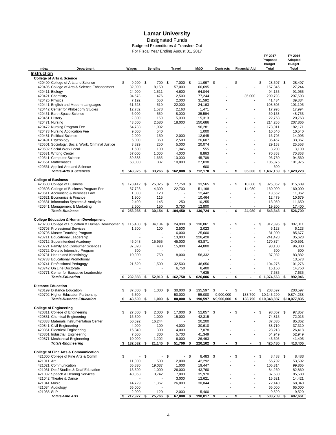Designated Funds

 $\sim$ 

For Fiscal Year Ending August 31, 2017 Budgeted Expenditures & Transfers Out

 **FY 2017 FY 2016** 

|                    |                                                                             |           |                 |                                |                 |     |                     |                      |                                | Proposed               |     | Adopted                |
|--------------------|-----------------------------------------------------------------------------|-----------|-----------------|--------------------------------|-----------------|-----|---------------------|----------------------|--------------------------------|------------------------|-----|------------------------|
| Index              | Department                                                                  | Wages     |                 | <b>Benefits</b>                | Travel          |     | <b>M&amp;O</b>      | <b>Contracts</b>     | <b>Financial Aid</b>           | <b>Budget</b><br>Total |     | <b>Budget</b><br>Total |
| <b>Instruction</b> |                                                                             |           |                 |                                |                 |     |                     |                      |                                |                        |     |                        |
|                    | <b>College of Arts &amp; Science</b>                                        |           |                 |                                |                 |     |                     |                      |                                |                        |     |                        |
|                    | 420400 College of Arts and Science                                          | \$        | 9,000           | \$<br>700                      | \$<br>7,000     | -\$ | 11,997 \$           |                      | \$<br>$\overline{a}$           | \$<br>28,697 \$        |     | 28,497                 |
|                    | 420405 College of Arts & Science Enhancement                                |           | 32,000          | 8,150                          | 57,000          |     | 60,695              |                      |                                | 157,845                |     | 127,244                |
|                    | 420411 Biology                                                              |           | 24.000          | 1,511                          | 4,600           |     | 64,044              |                      |                                | 94,155                 |     | 91,955                 |
|                    | 420421 Chemistry                                                            |           | 94,573          | 476                            | 2,500           |     | 77,244              |                      | 35,000                         | 209,793                |     | 207,593                |
|                    | 420425 Physics<br>420441 English and Modern Languages                       |           | 7,192<br>61,623 | 650<br>519                     | 2,000<br>22,000 |     | 31,592<br>24,163    |                      |                                | 41,434<br>108,305      |     | 39,834<br>101,105      |
|                    | 420442 Center for Philosophy Studies                                        |           | 12,782          | 1,578                          | 2,163           |     | 1,471               |                      |                                | 17,995                 |     | 17,994                 |
|                    | 420451 Earth Space Science                                                  |           | 6,000           | 559                            | 8,000           |     | 35,594              |                      |                                | 50,153                 |     | 48,753                 |
| 420461 History     |                                                                             |           | 2,300           | 150                            | 5,000           |     | 15,313              |                      |                                | 22,763                 |     | 20,763                 |
|                    | 420471 Nursing                                                              |           | 43,000          | 2,580                          | 18,000          |     | 150,686             |                      |                                | 214,266                |     | 207,866                |
|                    | 420472 Nursing Program Fee                                                  |           | 64,738          | 11,992                         |                 |     | 96,281              |                      | ä,                             | 173,011                |     | 182,171                |
|                    | 420473 Nursing Application Fee                                              |           | 9,000           | 540                            |                 |     | 1,000               |                      | ÷.                             | 10,540                 |     | 10,540                 |
|                    | 420481 Political Science                                                    |           | 2,000           | 150                            | 2,000           |     | 12,645              |                      | $\overline{a}$                 | 16,795                 |     | 14,995                 |
|                    | 420491 Psychology                                                           |           | 6,000           | 360<br>250                     | 2,500           |     | 26,607              |                      | ÷,                             | 35,467                 |     | 33,867                 |
|                    | 420501 Sociology, Social Work, Criminal Justice<br>420502 Social Work Local |           | 3,829<br>1,500  | 100                            | 5,000<br>1,045  |     | 20,074<br>555       |                      |                                | 29,153<br>3,200        |     | 25,553<br>3,100        |
|                    | 420531 Writing Center                                                       |           | 57,000          | 1,000                          | 4,000           |     | 8,863               |                      | ٠                              | 70,863                 |     | 70,863                 |
|                    | 420541 Computer Science                                                     |           | 39,388          | 1,665                          | 10,000          |     | 45,708              |                      |                                | 96,760                 |     | 94,560                 |
|                    | 420551 Mathematics                                                          |           | 68,000          | 337                            | 10,000          |     | 27,038              |                      | ä                              | 105,375                |     | 101,975                |
|                    | 420561 Applied Arts and Science                                             |           |                 |                                |                 |     | 600                 |                      |                                | 600                    |     |                        |
|                    | <b>Totals-Arts &amp; Sciences</b>                                           | s.        | 543,925         | \$<br>33,266                   | \$<br>162,808   | \$  | 712,170             | \$<br>$\blacksquare$ | \$<br>35,000                   | \$<br>1,487,169        | \$  | 1,429,228              |
|                    |                                                                             |           |                 |                                |                 |     |                     |                      |                                |                        |     |                        |
|                    | <b>College of Business</b>                                                  |           |                 |                                |                 |     |                     |                      |                                |                        |     |                        |
|                    | 420600 College of Business                                                  | \$        | 178,412         | \$<br>25,325                   | \$<br>77,750    | \$  | 33,565              | \$                   | \$<br>10,000                   | \$<br>325,052          | \$  | 315,609                |
|                    | 420603 College of Business Program Fee<br>420611 Accounting & Business Law  |           | 67,723          | 4,300<br>120                   | 22,700          |     | 51,198<br>12.442    |                      | 14,080                         | 160,000<br>13,562      |     | 160,000<br>11,362      |
|                    | 420621 Economics & Finance                                                  |           | 1,000<br>1,900  | 115                            |                 |     | 10,464              |                      |                                | 12,479                 |     | 10,679                 |
|                    | 420631 Information Systems & Analysis                                       |           | 2,400           | 145                            | 250             |     | 10,255              |                      |                                | 13,050                 |     | 11,650                 |
|                    | 420641 Management & Marketing                                               |           | 2,500           | 150                            | 3,750           |     | 12,800              |                      |                                | 19,200                 |     | 17,400                 |
|                    | <b>Totals-Business</b>                                                      |           | 253,935         | \$<br>30,154                   | \$<br>104,450   | \$  | 130,724             | \$                   | \$<br>24,080                   | \$<br>543,343          | \$  | 526,700                |
|                    |                                                                             |           |                 |                                |                 |     |                     |                      |                                |                        |     |                        |
|                    | <b>College Education &amp; Human Development</b>                            |           |                 |                                |                 |     |                     |                      |                                |                        |     |                        |
|                    | 420700 College of Education & Human Developmen \$                           |           | 115,400         | \$<br>34,134                   | \$<br>24,000    | \$  | 138,861             | \$                   | \$<br>٠                        | \$<br>312,395          | -\$ | 307,011                |
|                    | 420703 Professional Services                                                |           | 1,500           | 100                            | 2,500<br>6,000  |     | 2,023<br>25,000     |                      |                                | 6,123<br>31,000        |     | 6,123<br>85,677        |
|                    | 420705 Master Teaching Program<br>420711 Educational Leadership             |           |                 |                                | 13,000          |     | 228,428             |                      | ÷,                             | 241,428                |     | 35,628                 |
|                    | 420712 Superintendent Academy                                               |           | 46,048          | 15,955                         | 45,000          |     | 63,871              |                      | Ē,                             | 170,874                |     | 240,591                |
|                    | 420721 Family and Consumer Sciences                                         |           | 37,820          | 480                            | 15,000          |     | 44,800              |                      |                                | 98,100                 |     | 96,300                 |
|                    | 420722 Dietetic Internship Program                                          |           | 500             |                                |                 |     |                     |                      | ٠                              | 500                    |     | 500                    |
|                    | 420731 Health and Kinesiology                                               |           | 10,000          | 750                            | 18,000          |     | 58,332              |                      |                                | 87,082                 |     | 83,882                 |
|                    | 420733 Educational Promotional                                              |           |                 |                                |                 |     |                     |                      |                                |                        |     | 13,573                 |
|                    | 420741 Professional Pedagogy                                                |           | 21,620          | 1,500                          | 32,500          |     | 48,656              |                      | ÷.                             | 104,276                |     | 101,276                |
|                    | 420742 On Line Doctorate                                                    |           |                 |                                | 6,750           |     | 8,400               |                      | ä                              | 15,150                 |     | 14,750                 |
|                    | 420771 Center for Executive Leadership                                      |           |                 |                                |                 |     | 7,635               |                      |                                | 7,635                  |     | 7,635                  |
|                    | <b>Totals-Education</b>                                                     |           | 232,888         | \$<br>52,919                   | \$<br>162,750   | \$  | 626,006             | \$<br>$\blacksquare$ | \$<br>٠                        | \$1.074.563            | \$  | 992,946                |
|                    | <b>Distance Education</b>                                                   |           |                 |                                |                 |     |                     |                      |                                |                        |     |                        |
|                    | 420199 Distance Education                                                   | \$        | 37,000          | \$<br>1,000                    | \$<br>30,000    | \$  | 135,597             | \$                   | \$                             | \$<br>203,597          |     | 203,597                |
|                    | 420702 Higher Education Partnership                                         |           | 6,500           |                                | 50,000          |     | 55,000              | 9,900,000            | 133,790                        | 10,145,290             |     | 9,874,238              |
|                    | <b>Totals-Distance Education</b>                                            | \$        | 43,500          | \$<br>1,000                    | \$<br>80,000    | \$  | 190,597             | \$9,900,000          | \$<br>133,790                  | \$10,348,887           |     | \$10,077,835           |
|                    |                                                                             |           |                 |                                |                 |     |                     |                      |                                |                        |     |                        |
|                    | <b>College of Engineering</b><br>420811 College of Engineering              | S         | 27,000 \$       |                                | \$<br>17,000 \$ |     |                     |                      | \$                             | \$<br>98,057 \$        |     |                        |
|                    | 420831 Chemical Engineering                                                 |           | 16,500          | 2,000<br>1,000                 | 15,000          |     | 52,057 \$<br>42,315 |                      |                                | 74,815                 |     | 97,857<br>72,015       |
|                    | 420833 Materials Instrumentation Center                                     |           | 50,592          | 16,244                         |                 |     | 20,200              |                      |                                | 87,036                 |     | 85,362                 |
|                    | 420841 Civil Engineering                                                    |           | 4,000           | 100                            | 4,000           |     | 30,610              |                      | ä,                             | 38,710                 |     | 37,310                 |
|                    | 420851 Electrical Engineering                                               |           | 16,840          | 300                            | 4,000           |     | 7,078               |                      | $\overline{a}$                 | 28,218                 |     | 26,418                 |
|                    | 420861 Industrial Engineering                                               |           | 7,600           | 300                            | 5,700           |     | 41,349              |                      | ÷,                             | 54,949                 |     | 52,949                 |
|                    | 420871 Mechanical Engineering                                               |           | 10,000          | 1,202                          | 6,000           |     | 26,493              | ٠                    | $\overline{a}$                 | 43,695                 |     | 41,495                 |
|                    | <b>Totals-Engineering</b>                                                   | -S        | 132,532         | \$<br>21,146                   | \$<br>51,700    | -\$ | 220,102             | \$<br>$\blacksquare$ | \$<br>$\blacksquare$           | \$<br>425,480          | \$  | 413,406                |
|                    |                                                                             |           |                 |                                |                 |     |                     |                      |                                |                        |     |                        |
|                    | <b>College of Fine Arts &amp; Communication</b>                             | \$        | $\sim$          | \$<br>$\overline{\phantom{a}}$ | \$<br>$\sim$    | \$  |                     |                      | \$<br>$\overline{\phantom{a}}$ | \$                     |     |                        |
| 421011 Art         | 421000 College of Fine Arts & Comm                                          |           | 11,000          | 500                            | 2,000           |     | 8,483 \$<br>42,292  |                      | ÷,                             | 8,483 \$<br>55,792     |     | 8,483<br>53,592        |
|                    | 421021 Communication                                                        |           | 65,830          | 19,037                         | 1,000           |     | 19,447              |                      |                                | 105,314                |     | 99,865                 |
|                    | 421031 Deaf Studies & Deaf Education                                        |           | 13,500          | 1,000                          | 26,000          |     | 43,760              |                      | Ĭ.                             | 84,260                 |     | 82,860                 |
|                    | 421032 Speech & Hearing Services                                            |           | 40,868          | 3,742                          | 7,000           |     | 35,970              |                      | ÷.                             | 87,580                 |     | 85,580                 |
|                    | 421042 Theatre & Dance                                                      |           |                 |                                | 3,000           |     | 12,621              |                      | $\overline{a}$                 | 15,621                 |     | 14,421                 |
| 421041 Music       |                                                                             |           | 14,729          | 1,367                          | 26,000          |     | 30,044              |                      | ٠                              | 72,140                 |     | 68,340                 |
|                    | 421034 Audiology                                                            |           | 65,000          |                                |                 |     |                     |                      | $\overline{a}$                 | 65,000                 |     | 65,000                 |
| 421035 SLP         |                                                                             |           | 2,000           | 120                            | 2,000           |     | 5,400               |                      |                                | 9,520                  |     | 9,520                  |
|                    | <b>Totals-Fine Arts</b>                                                     | \$212,927 |                 | \$<br>25,766                   | \$<br>67,000    | -\$ | 198,017             | \$                   | \$<br>$\blacksquare$           | \$<br>503,709          | \$  | 487,661                |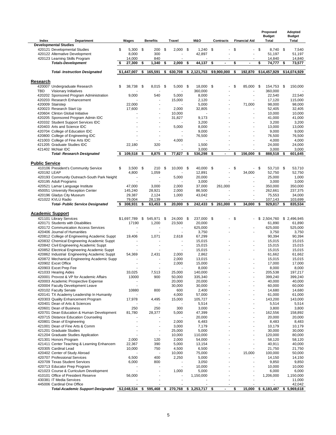|                         |                                                                                             |                        |                          |     |                          |                         |                      |                                |     | Proposed               | Adopted                |
|-------------------------|---------------------------------------------------------------------------------------------|------------------------|--------------------------|-----|--------------------------|-------------------------|----------------------|--------------------------------|-----|------------------------|------------------------|
| Index                   | <b>Department</b>                                                                           | Wages                  | <b>Benefits</b>          |     | Travel                   | <b>M&amp;O</b>          | <b>Contracts</b>     | <b>Financial Aid</b>           |     | <b>Budget</b><br>Total | <b>Budget</b><br>Total |
|                         | <b>Developmental Studies</b>                                                                |                        |                          |     |                          |                         |                      |                                |     |                        |                        |
|                         | 420121 Developmental Studies                                                                | $5,300$ \$<br>\$       | 200                      | \$  | 2,000                    | \$<br>1,240             | -\$<br>Ĭ.            | \$<br>$\overline{\phantom{a}}$ | \$  | 8,740                  | \$<br>7,540            |
|                         | 420122 Alternative Development                                                              | 8,000                  | 300                      |     |                          | 42,897                  |                      |                                |     | 51,197                 | 51,197                 |
|                         | 420123 Learning Skills Program<br><b>Totals-Development</b>                                 | 14,000<br>27,300<br>\$ | \$<br>840<br>1,340       | \$  | 2,000                    | \$<br>44,137            | \$<br>$\blacksquare$ | \$<br>$\blacksquare$           | \$  | 14,840<br>74,777       | \$<br>14,840<br>73,577 |
|                         |                                                                                             |                        |                          |     |                          |                         |                      |                                |     |                        |                        |
|                         | <b>Total- Instruction Designated</b>                                                        | \$1,447,007            | \$<br>165,591            | \$  | 630,708                  | \$2,121,753             | \$9,900,000          | \$<br>192,870                  |     | \$14,457,929           | \$14,074,929           |
|                         |                                                                                             |                        |                          |     |                          |                         |                      |                                |     |                        |                        |
| Research                |                                                                                             | \$                     | \$                       |     |                          |                         |                      | \$                             |     |                        |                        |
| <b>TBD</b>              | 420007 Undergraduate Research<br>Visionary Initiatives                                      | 38,738                 | 8,015                    | -\$ | 5,000                    | \$<br>18,000<br>360,000 | - \$                 | 85,000                         | -\$ | 154,753<br>360,000     | \$<br>150,000          |
|                         | 420202 Sponsored Program Administration                                                     | 9,000                  | 540                      |     | 5,000                    | 8,000                   |                      |                                |     | 22,540                 | 22,540                 |
|                         | 420203 Research Enhancement                                                                 |                        |                          |     | 15,000                   | 2,120                   |                      |                                |     | 17,120                 | 115,000                |
|                         | 420009 Stairstep                                                                            | 22,000                 |                          |     |                          | 5,000                   |                      | 71,000                         |     | 98,000                 | 98,000                 |
|                         | 420023 Research Start Up<br>420604 Clinton Global Initiative                                | 17,600                 |                          |     | 2,000<br>10,000          | 32,805                  |                      |                                |     | 52,405<br>10,000       | 32,405<br>10,000       |
|                         | 420205 Sponsored Program Admin IDC                                                          |                        |                          |     | 31,827                   | 9,173                   |                      |                                |     | 41,000                 | 41,000                 |
|                         | 420332 Student Support Services IDC                                                         |                        |                          |     |                          | 3,200                   |                      |                                |     | 3,200                  | 3,200                  |
|                         | 420403 Arts and Science IDC                                                                 |                        |                          |     | 5,000                    | 8,000                   |                      |                                |     | 13,000                 | 13,000                 |
|                         | 420704 College of Education IDC<br>420800 College of Engineering IDC                        |                        |                          |     |                          | 9,000<br>76,500         |                      |                                |     | 9,000<br>76,500        | 9,000<br>76,500        |
|                         | 421003 College of Fine Arts IDC                                                             |                        |                          |     | 4,000                    |                         |                      |                                |     | 4,000                  | 4,000                  |
|                         | 421205 Graduate Studies IDC                                                                 | 22,180                 | 320                      |     |                          | 1,500                   |                      | $\overline{a}$                 |     | 24,000                 | 24,000                 |
|                         | 421402 McNair IDC                                                                           |                        |                          |     |                          | 3,000                   |                      |                                |     | 3,000                  | 3,000                  |
|                         | <b>Total- Research Designated</b>                                                           | 109,518<br>\$          | \$<br>8,875              | \$  | 77,827                   | \$<br>536,298           | \$<br>$\blacksquare$ | \$<br>156,000                  | \$  | 888,518                | \$<br>601,645          |
| <b>Public Service</b>   |                                                                                             |                        |                          |     |                          |                         |                      |                                |     |                        |                        |
|                         | 410106 President's Community Service                                                        | \$<br>$3,500$ \$       | 210                      | \$  | 10,000                   | \$<br>40,000            | - \$                 | \$                             | \$  | 53,710                 | \$<br>53,710           |
| 420192 LEAP             |                                                                                             | 4,800                  | 1,059                    |     |                          | 12,891                  |                      | 34,000                         |     | 52,750                 | 52.750                 |
|                         | 420193 Community Outreach-South Park Neight                                                 |                        |                          |     | 5,000                    | 20,000                  |                      |                                |     | 25,000                 | 1,000                  |
|                         | 420195 Adult Programs<br>420521 Lamar Language Institute                                    | 47,000                 | 3,000                    |     | 2,000                    | 3,000<br>37,000         | 261,000              |                                |     | 3,000<br>350,000       | 3,000<br>350,000       |
|                         | 450051 University Reception Center                                                          | 145,240                | 28,921                   |     | 2,000                    | 86,500                  |                      |                                |     | 262,661                | 237,375                |
|                         | 420196 Gladys City Museum                                                                   | 29,387                 | 2,124                    |     | 1,000                    | 43,042                  |                      |                                |     | 75,553                 | 34,000                 |
|                         | 421022 KVLU Radio                                                                           | 79,004                 | 28,139                   |     |                          |                         |                      |                                |     | 107,143                | 103,699                |
|                         | <b>Total- Public Service Designated</b>                                                     | 308,931                | \$<br>63,453             | \$  | 20,000                   | \$<br>242,433           | 261,000<br>\$        | \$<br>34,000                   | \$  | 929,817                | 835,534                |
| <b>Academic Support</b> |                                                                                             |                        |                          |     |                          |                         |                      |                                |     |                        |                        |
|                         | 421101 Library Services                                                                     | \$1,697,789            | \$<br>545,971            | \$  | 24,000                   | \$<br>237,000 \$        |                      | \$                             |     | \$2,504,760            | \$2,496,945            |
|                         | 420171 Students with Disabilities                                                           | 17190                  | 1,200                    |     | 23,500                   | 20,000                  |                      |                                |     | 61,890                 | 61,890                 |
|                         | 420172 Communication Access Services<br>420406 Journal of Humanities                        | $\blacksquare$         | $\overline{\phantom{a}}$ |     | ÷.                       | 625,000<br>3,750        |                      |                                |     | 625,000<br>3,750       | 525,000<br>3,750       |
|                         | 420812 College of Engineering Academic Suppt                                                | 19,406                 | 1,071                    |     | 2,618                    | 67,299                  |                      |                                |     | 90,394                 | 90,394                 |
|                         | 420832 Chemical Engineering Academic Suppt                                                  |                        |                          |     | ÷                        | 15,015                  |                      |                                |     | 15,015                 | 15,015                 |
|                         | 420842 Civil Engineering Academic Suppt                                                     |                        |                          |     | $\overline{\phantom{m}}$ | 15,015                  |                      |                                |     | 15,015                 | 15,015                 |
|                         | 420852 Electrical Engineering Academic Suppt                                                |                        | 2,431                    |     |                          | 15,015                  |                      |                                |     | 15,015                 | 15,015                 |
|                         | 420862 Industrial Engineering Academic Suppt<br>420872 Mechanical Engineering Academic Supp | 54,369                 |                          |     | 2,000<br>2,000           | 2,862<br>13,015         |                      |                                |     | 61,662<br>15,015       | 61,662<br>15,015       |
|                         | 420902 Excet Office                                                                         |                        |                          |     | 2,000                    | 15,000                  |                      |                                |     | 17,000                 | 17,000                 |
|                         | 420903 Excet Prep Fee                                                                       |                        |                          |     |                          | 8,000                   |                      |                                |     | 8,000                  | 8,000                  |
|                         | 421033 Hearing Aides                                                                        | 33,025                 | 7,513                    |     | 25,000                   | 140,000                 |                      |                                |     | 205,538                | 197,217                |
|                         | 420001 Provost & VP for Academic Affairs<br>420003 Academic Prospective Expense             | 13000                  | 900                      |     | 50,000<br>20,000         | 335,340<br>20,000       |                      |                                |     | 399,240<br>40,000      | 399,240<br>40,000      |
|                         | 420004 Faculty Development Leave                                                            |                        |                          |     | 30,000                   | 30,000                  |                      |                                |     | 60,000                 | 60,000                 |
|                         | 420102 Faculty Senate                                                                       | 10880                  | 800                      |     | 600                      | 2,400                   |                      |                                |     | 14,680                 | 14,680                 |
|                         | 420141 TX Academy Leadership In Humanity<br>420303 Quality Enhancement Program              | 17,978                 | 4,495                    |     | 4,000<br>15,000          | 57,000<br>105,727       |                      |                                |     | 61,000<br>143,200      | 61,000<br>143,000      |
|                         | 420401 Dean of Arts & Sciences                                                              |                        |                          |     |                          | 5,514                   |                      |                                |     | 5,514                  | 5,514                  |
|                         | 420601 Dean of Business                                                                     | 250                    | 250                      |     | 300                      | 3,000                   |                      |                                |     | 3,800                  | 3,800                  |
|                         | 420701 Dean Education & Human Development                                                   | 81,780                 | 28,377                   |     | 5,000                    | 47,399                  |                      |                                |     | 162,556                | 158,892                |
|                         | 420715 Distance Education Counseling                                                        |                        |                          |     |                          | 20,000                  |                      |                                |     | 20,000                 | 20,000                 |
|                         | 420801 Dean of Engineering<br>421001 Dean of Fine Arts & Comm                               |                        |                          |     | 2,000<br>3,000           | 6,483<br>7,179          |                      |                                |     | 8,483<br>10,179        | 8,483<br>10,179        |
|                         | 421201 Graduate Studies                                                                     |                        |                          |     | 25,000                   | 5,000                   |                      |                                |     | 30,000                 | 30,000                 |
|                         | 421204 Graduate Studies Application                                                         |                        |                          |     | 10,000                   | 110,000                 |                      |                                |     | 120,000                | 80,000                 |
|                         | 421301 Honors Program                                                                       | 2,000                  | 120                      |     | 2,000                    | 54,000                  |                      |                                |     | 58,120                 | 58,120                 |
|                         | 421411 Center Teaching & Learning Enhancem<br>420305 Cardinal Lead                          | 22,367<br>10,000       | 390<br>750               |     | 5,000<br>4,500           | 13,154<br>6,500         |                      |                                |     | 40,911<br>21,750       | 40,000<br>21,750       |
|                         | 420402 Center of Study Abroad                                                               |                        | $\overline{\phantom{a}}$ |     | 10,000                   | 75,000                  |                      | 15,000                         |     | 100,000                | 50,000                 |
|                         | 420707 Professional Services                                                                | 6,500                  | 400                      |     | 2,250                    | 5,000                   |                      |                                |     | 14,150                 | 14,150                 |
|                         | 420709 Texas Student Services                                                               | 6,000                  | 800                      |     |                          | 3,050                   |                      |                                |     | 9,850                  | 9,850                  |
|                         | 420713 Educator Prep Program<br>421023 Course & Curriculum Development                      |                        |                          |     | 1,000                    | 10,000<br>5,000         |                      |                                |     | 10,000<br>6,000        | 10,000<br>6,000        |
|                         | 410101 Office of President Reserve                                                          | 56,000                 |                          |     |                          | 1,150,000               |                      |                                |     | 1,206,000              | 1,150,000              |
|                         | 430381 IT Media Services                                                                    |                        |                          |     |                          |                         |                      |                                |     |                        | 11,000                 |
|                         | 445006 Cardinal One Office                                                                  |                        |                          |     | 270,768                  | \$3,253,717             |                      |                                |     | \$6,183,487            | 42,042                 |
|                         | Total-Academic Support Designated \$2,048,534                                               |                        | \$<br>595,468            | \$  |                          |                         | \$                   | \$<br>15,000                   |     |                        | \$5,969,618            |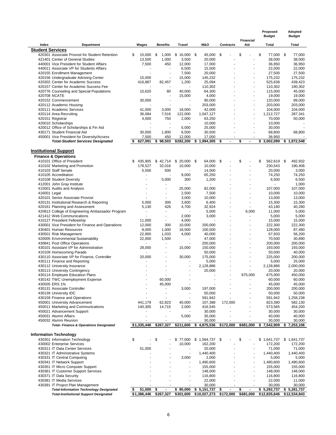|                         |                                                                                    |                        |                      |                                    |                    |                      |                                   | Proposed<br><b>Budget</b> | Adopted<br><b>Budget</b> |
|-------------------------|------------------------------------------------------------------------------------|------------------------|----------------------|------------------------------------|--------------------|----------------------|-----------------------------------|---------------------------|--------------------------|
|                         |                                                                                    |                        |                      |                                    |                    |                      | <b>Financial</b>                  |                           |                          |
| Index                   | <b>Department</b>                                                                  | Wages                  | <b>Benefits</b>      | Travel                             | <b>M&amp;O</b>     | <b>Contracts</b>     | Aid                               | Total                     | Total                    |
| <b>Student Services</b> |                                                                                    |                        |                      |                                    |                    |                      |                                   |                           |                          |
|                         | 420301 Associate Provost for Student Retention<br>421401 Center of General Studies | \$<br>15,000<br>13,500 | \$<br>1,000<br>1,000 | $$16,000$ \$<br>3,500              | 45,000<br>20,000   | \$                   | \$<br>$\overline{a}$              | \$<br>77,000 \$<br>38,000 | 77,000<br>38,000         |
|                         | 440001 Vice President for Student Affairs                                          | 7,500                  | 450                  | 12,000                             | 17,000             |                      |                                   | 36,950                    | 36,950                   |
|                         | 440011 Associate VP for Students Affairs                                           |                        | ÷.                   | 6,500                              | 15,500             |                      | ٠                                 | 22,000                    | 22,000                   |
|                         | 420155 Enrollment Management                                                       |                        |                      | 7,500                              | 20,000             |                      |                                   | 27,500                    | 27,500                   |
|                         | 420156 Undergraduate Advising Center                                               | 15,000                 | ÷,                   | 15,000                             | 145,232            |                      | $\overline{a}$                    | 175,232                   | 175,232                  |
|                         | 420302 Center for Academic Success                                                 | 416,887                | 82,457               | 1,200                              | 25,094             |                      |                                   | 525,638                   | 439,423                  |
|                         | 420157 Center for Academic Success Fee                                             |                        |                      |                                    | 110.302            |                      |                                   | 110,302                   | 190,302                  |
|                         | 420776 Counseling and Special Populations                                          | 10,620                 | 80                   | 40,000                             | 64,300             |                      | $\blacksquare$                    | 115,000                   | 45,000                   |
|                         | 420708 NCATE                                                                       |                        |                      | 15,000                             | 4,000              |                      |                                   | 19,000                    | 19,000                   |
|                         | 420152 Commencement                                                                | 30,000                 | ÷.                   | $\sim$                             | 90,000<br>203,000  |                      | ÷.<br>$\sim$                      | 120,000<br>203,000        | 89,000                   |
|                         | 420112 Academic Housing<br>420111 Academic Services                                | 41,000                 | 3,000                | 18,000                             | 42,000             |                      | $\blacksquare$                    | 104,000                   | 203,000<br>104,000       |
|                         | 420114 Area Recruiting                                                             | 36,084                 | 7,516                | 122,000                            | 1,047,127          |                      | $\overline{\phantom{a}}$          | 1,212,727                 | 287,341                  |
|                         | 420151 Registrar                                                                   | 4,000                  | 750                  | 2,000                              | 63,250             |                      |                                   | 70,000                    | 50,000                   |
|                         | 420010 Scholarships                                                                |                        |                      |                                    | 10,000             |                      |                                   | 10,000                    |                          |
|                         | 420012 Office of Scholarships & Fin Aid                                            |                        | ٠                    | 5,000                              | 25,000             |                      |                                   | 30,000                    |                          |
|                         | 430171 Student Financial Aid                                                       | 30,000                 | 1,800                | 6,500                              | 30,500             |                      |                                   | 68,800                    | 68,800                   |
|                         | 450001 Vice President for Diversity/Access                                         | 7,500                  | 450                  | 12,000                             | 17,000             |                      |                                   | 36,950                    |                          |
|                         | <b>Total-Student Services Designated</b>                                           | 627,091<br>S           | \$98,503             | \$282,200                          | \$1,994,305        | \$<br>$\blacksquare$ | \$<br>$\blacksquare$              | \$3,002,099               | \$1,872,548              |
|                         |                                                                                    |                        |                      |                                    |                    |                      |                                   |                           |                          |
|                         | <b>Institutional Support</b>                                                       |                        |                      |                                    |                    |                      |                                   |                           |                          |
|                         | <b>Finance &amp; Operations</b>                                                    |                        |                      |                                    |                    |                      |                                   |                           |                          |
|                         | 410101 Office of President                                                         | 435,905<br>S           | \$42,714<br>32,016   | $$20,000$ \$                       | 64,000<br>10,000   | \$                   | \$<br>÷,                          | \$<br>562,619<br>230,543  | 492,932<br>\$<br>190,406 |
|                         | 410102 Marketing and Promotion<br>410103 Staff Senate                              | 178,527<br>5,500       | 500                  | 10,000<br>$\overline{\phantom{a}}$ | 14,000             |                      | ٠                                 | 20,000                    | 3,000                    |
|                         | 410105 Accreditation                                                               |                        |                      | 9,000                              | 65,250             |                      |                                   | 74,250                    | 74,250                   |
|                         | 410108 Student Diversity                                                           |                        | 5,000                | 300                                | 1,200              |                      | ٠                                 | 6,500                     | 6,500                    |
|                         | 412001 John Gray Institute                                                         |                        |                      |                                    |                    |                      |                                   |                           | 1,000                    |
|                         | 415001 Audits and Analysis                                                         |                        |                      | 25,000                             | 82,000             |                      |                                   | 107,000                   | 107,000                  |
| 416001 Legal            |                                                                                    |                        | $\sim$               | 2,500                              | 7,500              |                      | ä,                                | 10,000                    | 10,000                   |
|                         | 420101 Senior Associate Provost                                                    |                        | $\sim$               | 3,000                              | 10,000             |                      | ÷                                 | 13,000                    | 13,000                   |
|                         | 420131 Institutional Research & Reporting                                          | 5,000                  | 300                  | 3,600                              | 6,400              |                      | ä,                                | 15,300                    | 15,300                   |
|                         | 420161 Planning and Assessment                                                     | 5,130                  | 426                  | 4,700                              | 32,924             |                      | $\blacksquare$                    | 43,180                    | 40,280                   |
|                         | 420813 College of Engineering Ambassador Program<br>421412 Web Communications      |                        | $\sim$               | 2,000                              | 5,000<br>3,000     |                      | 6,000<br>$\overline{\phantom{a}}$ | 11,000<br>5,000           | 5,000<br>5,000           |
|                         | 410127 President Fellowship                                                        | 11,000                 | ÷                    | 4,000                              |                    |                      | $\overline{\phantom{a}}$          | 15,000                    | 15,000                   |
|                         | 430001 Vice President for Finance and Operations                                   | 12,000                 | 300                  | 10,000                             | 200,000            |                      | ٠                                 | 222,300                   | 222,300                  |
|                         | 430401 Human Resources                                                             | 8,000                  | 1,000                | 18,500                             | 100,500            |                      | ä,                                | 128,000                   | 87,480                   |
|                         | 430501 Risk Management                                                             | 22,900                 | 1,033                | 4,000                              | 40,000             |                      |                                   | 67,933                    | 56,200                   |
|                         | 420005 Environmental Sustainability                                                | 22,000                 | 1,500                |                                    | 47,000             |                      | ä,                                | 70,500                    | 30,890                   |
|                         | 430841 Post Office Operations                                                      | $\blacksquare$         | $\sim$               | ÷,                                 | 200.000            |                      | ÷,                                | 200,000                   | 200,000                  |
|                         | 430101 Assistant VP for Administration                                             | 28,000                 | $\sim$               | 15,000                             | 150,000            |                      | $\overline{\phantom{a}}$          | 193,000                   | 193,000                  |
|                         | 410109 Homecoming Parade                                                           |                        |                      |                                    | 50,000             |                      | ÷,                                | 50,000                    | 40,000                   |
|                         | 430110 Associate VP for Finance, Controller                                        | 20,000                 |                      | 30,000                             | 175,000            |                      | $\overline{\phantom{a}}$          | 225,000                   | 200,000                  |
|                         | 430111 Finance and Reporting<br>430112 University Insurance                        |                        |                      | $\overline{\phantom{a}}$           | 5,000<br>2,128,886 |                      | ÷,<br>٠                           | 5,000<br>2,128,886        | 25,000<br>2,000,000      |
|                         | 430113 University Contingency                                                      |                        |                      | $\overline{\phantom{a}}$           | 20,000             |                      |                                   | 20,000                    | 20,000                   |
|                         | 430114 Employee Education Plans                                                    |                        |                      | ×                                  |                    |                      | 675,000                           | 675.000                   | 450,000                  |
|                         | 430142 TWC Unemployment Expense                                                    |                        | 60,000               |                                    |                    |                      |                                   | 60,000                    | 60,000                   |
|                         | 430505 ERS 1%                                                                      |                        | 45,000               | ×                                  |                    |                      |                                   | 45,000                    | 45,000                   |
|                         | 430131 Associate Controller                                                        |                        |                      | 3,000                              | 197,000            |                      |                                   | 200,000                   | 200,000                  |
|                         | 430139 University IDC                                                              |                        | $\blacksquare$       |                                    | 50,000             |                      |                                   | 50,000                    | 50,000                   |
|                         | 430159 Finance and Operations                                                      |                        |                      |                                    | 591,942            |                      |                                   | 591,942                   | 1,258,238                |
|                         | 450001 University Advancement                                                      | 441,179                | 62,823               | 40,000                             | 107,388            | 172,000              |                                   | 823,390                   | 582,130                  |
|                         | 450011 Marketing and Communications                                                | 140,305                | 14,715               | 2,000                              | 416,545            |                      | $\overline{a}$                    | 573,565                   | 454,200                  |
|                         | 450021 Advancement Support<br>450031 Alumni Affairs                                |                        | $\sim$               | 5,000                              | 30,000<br>35,000   |                      | ä,                                | 30,000<br>40,000          | 30,000<br>40,000         |
|                         | 450032 Alumni Reunion                                                              | ÷                      |                      |                                    | 30,000             |                      | ×.                                | 30,000                    | 30,000                   |
|                         | <b>Total- Finance &amp; Operations Designated</b>                                  | \$1,335,446            | \$267,327            | \$211,600                          | \$4,875,536        | \$172,000            | \$681,000                         | \$7,542,909               | \$7,253,106              |
|                         |                                                                                    |                        |                      |                                    |                    |                      |                                   |                           |                          |
|                         | <b>Information Technology</b>                                                      |                        |                      |                                    |                    |                      |                                   |                           |                          |
|                         | 430301 Information Technology                                                      | \$                     | \$                   | 77,000<br>\$                       | \$1,564,737        | \$                   | \$                                | \$<br>1,641,737           | \$1,641,737              |
|                         | 430002 Enterprise Services                                                         |                        |                      | 10,000                             | 162,200            |                      |                                   | 172,200                   | 172,200                  |
|                         | 430311 IT Data Center Services                                                     | 51,000                 |                      | $\overline{a}$                     | 20,000             |                      |                                   | 71,000                    | 71,000                   |
|                         | 430321 IT Administrative Systems                                                   |                        |                      | ÷,                                 | 1,440,400          |                      |                                   | 1,440,400                 | 1,440,400                |
|                         | 430331 IT Central Computing                                                        |                        |                      | 3,000                              | 2,000              |                      |                                   | 5,000                     | 5,000                    |
|                         | 430341 IT Network Support                                                          |                        |                      |                                    | 1,490,600          |                      |                                   | 1,490,600                 | 1,490,600                |
|                         | 430351 IT Micro Computer Support                                                   |                        |                      |                                    | 155,000            |                      |                                   | 155,000                   | 155,000                  |
|                         | 430361 IT Customer Support Services<br>430371 IT Data Security                     |                        |                      | $\overline{\phantom{a}}$           | 148,000<br>116,800 |                      |                                   | 148,000<br>116,800        | 148,000<br>116,800       |
|                         | 430381 IT Media Services                                                           |                        |                      |                                    | 22,000             |                      |                                   | 22,000                    | 11,000                   |
|                         | 430391 IT Project Plan Management                                                  |                        |                      | ×                                  | 30,000             |                      |                                   | 30,000                    | 30,000                   |
|                         | <b>Total-Information Technology Designated</b>                                     | 51,000<br>\$           | \$                   | \$90,000                           | \$5,151,737        | \$                   | \$                                | \$5,292,737               | \$5,281,737              |
|                         | <b>Total-Institutional Support Designated</b>                                      | \$1,386,446            | \$267,327            | \$301,600                          | \$10,027,273       | \$172,000            | \$681,000                         | \$12,835,646              | \$12,534,843             |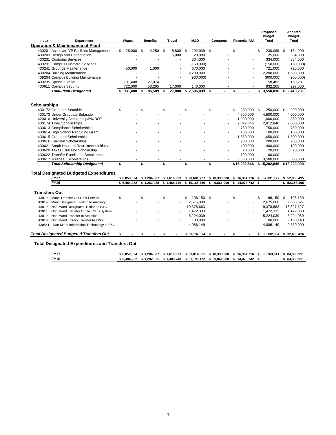|                                                        |                      |                      |               |                  |                      |                      |    | Proposed                    | Adopted       |
|--------------------------------------------------------|----------------------|----------------------|---------------|------------------|----------------------|----------------------|----|-----------------------------|---------------|
|                                                        |                      |                      |               |                  |                      |                      |    | <b>Budget</b>               | <b>Budget</b> |
| Index<br><b>Department</b>                             | Wages                | <b>Benefits</b>      | <b>Travel</b> | <b>M&amp;O</b>   | <b>Contracts</b>     | <b>Financial Aid</b> |    | Total                       | Total         |
| <b>Operation &amp; Maintenance of Plant</b>            |                      |                      |               |                  |                      |                      |    |                             |               |
| 430201 Associate VP Facilities Management              | \$<br>28,000         | \$<br>4,250          | \$<br>5.800   | \$<br>192,039    | \$                   | \$                   | \$ | 230,089                     | \$<br>134,000 |
| 430203 Design and Construction                         |                      |                      | 5.000         | 20.000           |                      | ä,                   |    | 25.000                      | 334,000       |
| 430231 Custodial Services                              |                      |                      |               | 334.000          |                      |                      |    | 334.000                     | 334.000       |
| 439231 Campus Custodial Services                       |                      |                      | ä,            | (150.000)        |                      | $\overline{a}$       |    | (150.000)                   | (150,000)     |
| 430241 Grounds Maintenance                             | 50.000               | 1.000                |               | 670,000          |                      | $\overline{a}$       |    | 721,000                     | 720,000       |
| 430204 Building Maintenance                            |                      |                      | ä,            | 2,200,000        |                      | $\overline{a}$       |    | 2,200,000                   | 1,500,000     |
| 439204 Campus Building Maintenance                     |                      |                      | ä,            | (900,000)        |                      | ä,                   |    | (900,000)                   | (900,000)     |
| 430235 Special Events                                  | 131,408              | 27,074               | ÷             |                  |                      | ÷                    |    | 158,482                     | 150,201       |
| 430611 Campus Security                                 | 722,000              | 53,265               | 17,000        | 140.000          |                      |                      |    | 932,265                     | 297,000       |
| <b>Total-Plant Designated</b>                          | 931,408              | \$<br>85,589         | \$<br>27,800  | \$2,506,039      | \$                   | \$<br>$\blacksquare$ | \$ | 3,550,836                   | \$2,419,201   |
|                                                        |                      |                      |               |                  |                      |                      |    |                             |               |
| <b>Scholarships</b>                                    |                      |                      |               |                  |                      |                      |    |                             |               |
| 430172 Graduate Setaside                               | \$                   | \$                   | \$            | \$<br>ä,         | \$                   | \$<br>250,000        | \$ | 250,000                     | \$<br>200,000 |
| 430173 Under Graduate Setaside                         |                      |                      |               |                  |                      | 4,500,000            |    | 4,500,000                   | 4,000,000     |
| 420010 University Scholarship/5% BOT                   |                      |                      |               |                  |                      | 1,000,000            |    | 1,000,000                   | 850,000       |
| 430174 TPeg Scholarships                               |                      |                      |               |                  |                      | 2,812,846            |    | 2,812,846                   | 2,000,000     |
| 430613 Compliance Scholarships                         |                      |                      |               |                  |                      | 750.000              |    | 750,000                     | 750,000       |
| 430614 High School Recruiting Grant                    |                      |                      |               |                  |                      | 100,000              |    | 100,000                     | 100,000       |
| 430615 Graduate Scholarships                           |                      |                      |               |                  |                      |                      |    |                             |               |
|                                                        |                      |                      |               |                  |                      | 1,650,000            |    | 1,650,000                   | 1,500,000     |
| 430616 Cardinal Scholarships                           |                      |                      |               |                  | ä,                   | 200,000              |    | 200,000                     | 200,000       |
| 430621 South Houston Recruitment Initiative            |                      |                      |               |                  |                      | 400,000              |    | 400,000                     | 100,000       |
| 430620 Texas Educator Scholarship                      |                      |                      |               |                  | ä,                   | 20,000               |    | 20,000                      | 20,000        |
| 430622 Transfer Excellence Scholarships                |                      |                      |               |                  |                      | 100,000              |    | 100,000                     |               |
| 430617 Mirabeau Scholarships                           |                      |                      |               |                  | $\blacksquare$       | 3,500,000            |    | 3,500,000                   | 3,500,000     |
| <b>Total-Scholarship Designated</b>                    | \$<br>$\blacksquare$ | \$<br>$\overline{a}$ | \$            | \$               | \$<br>$\blacksquare$ | \$15,282,846         |    | \$15,282,846                | \$13,220,000  |
| <b>Total Designated Budgeted Expenditures</b>          |                      |                      |               |                  |                      |                      |    |                             |               |
| <b>FY17</b>                                            | \$6,859,024          | \$1,284,807          | \$1,610,903   | \$20,681,727     | \$10,333,000         | \$16,361,716         |    | \$ 57,131,177               | \$52,358,495  |
| <b>FY16</b>                                            | \$6.484.232          | \$1,282,025          | \$1,488,740   | \$19,168,756     | \$<br>9.861.000      | \$<br>14,073,742     | S, |                             | \$52,358,495  |
|                                                        |                      |                      |               |                  |                      |                      |    |                             |               |
| <b>Transfers Out</b>                                   |                      |                      |               |                  |                      |                      |    |                             |               |
| 430190 Mand Transfer Out Debt Service                  | \$                   | \$                   | \$            | \$<br>196.150    | \$                   | \$                   | \$ | 196.150                     | 198,150       |
|                                                        |                      |                      |               |                  |                      |                      |    |                             | \$            |
| 430190 Mand Designated Tuition to Auxiliary            |                      |                      |               | 2,675,000        |                      | $\overline{a}$       |    | 2,675,000                   | 2,068,627     |
| 430190 Non-Mand Designated Tuition to E&G              |                      |                      |               | 19,378,663       |                      | $\blacksquare$       |    | 19,378,663                  | 18,327,127    |
| 430115 Non-Mand Transfer Out to TSUS System            |                      |                      | ٠             | 1,472,333        |                      | $\blacksquare$       |    | 1,472,333                   | 1,472,333     |
| 430190 Non-Mand Transfer to Athletics                  |                      |                      |               | 5,224,039        |                      | $\blacksquare$       |    | 5,224,039                   | 5,224,039     |
| 430190 Non-Mand Library Transfer to E&G                |                      |                      | ä,            | 100,000          |                      | J.                   |    | 100,000                     | 2,190,140     |
| 430541 Non-Mand Information Technology to E&G          |                      |                      | ÷             | 4,086,149        |                      | ÷                    |    | 4,086,149                   | 2,550,000     |
| <b>Total Designated Budgeted Transfers Out</b>         | \$                   | \$                   | \$<br>٠       | $$33,132,334$ \$ | ٠                    | \$<br>٠              |    | \$ 33,132,334 \$ 32,030,416 |               |
| <b>Total Designated Expenditures and Transfers Out</b> |                      |                      |               |                  |                      |                      |    |                             |               |

| EV47        | 6,859,024 | .284.807  | 1.610.903 | \$53.814.061 | 10.333.000 | 16.361.716 | 90.263.511 | 84.388.911 |
|-------------|-----------|-----------|-----------|--------------|------------|------------|------------|------------|
| <b>FY16</b> | 6.484.232 | 1.282.025 | 1.488.740 | \$51.199.172 | 9.861.000  | 14.073.742 |            | 84.388.911 |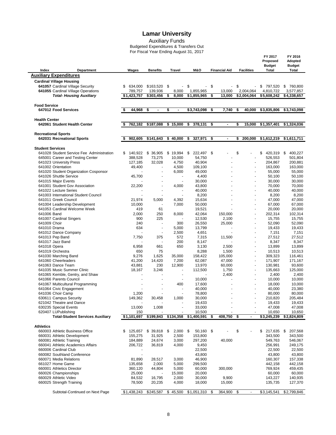Auxiliary Funds

Budgeted Expenditures & Transfers Out For Fiscal Year Ending August 31, 2017

 **FY 2017 FY 2016** 

|                         |                                           |               |                          |                |                      |                      |                                | Proposed<br><b>Budget</b> | <b>Adopted</b><br><b>Budget</b> |
|-------------------------|-------------------------------------------|---------------|--------------------------|----------------|----------------------|----------------------|--------------------------------|---------------------------|---------------------------------|
| Index                   | Department                                | Wages         | <b>Benefits</b>          | Travel         | <b>M&amp;O</b>       | <b>Financial Aid</b> | <b>Facilities</b>              | Total                     | Total                           |
|                         | <b>Auxiliary Expenditures</b>             |               |                          |                |                      |                      |                                |                           |                                 |
|                         | <b>Cardinal Village Housing</b>           |               |                          |                |                      |                      |                                |                           |                                 |
|                         | 641057 Cardinal Village Security          | 634,000<br>\$ | $$163,520$ \$            | $\blacksquare$ | \$<br>$\blacksquare$ | \$<br>$\blacksquare$ | \$<br>$\overline{\phantom{a}}$ | \$797,520                 | \$760,800                       |
|                         | 641055 Cardinal Village Operations        | 789,757       | 139,936                  | 8,000          | 1,855,965            | 13,000               | 2,004,064                      | 4,810,722                 | 3,577,857                       |
|                         | <b>Total- Housing Auxiliary</b>           | \$1,423,757   | \$303,456                | \$<br>8,000    | \$1,855,965          | \$<br>13,000         | \$2,004,064                    | \$5,608,242               | \$4,338,657                     |
|                         |                                           |               |                          |                |                      |                      |                                |                           |                                 |
| <b>Food Service</b>     |                                           |               | \$<br>$\overline{a}$     | $\overline{a}$ |                      |                      |                                |                           |                                 |
|                         | 647012 Food Services                      | \$<br>44,968  |                          | \$             | \$3,743,098          | \$<br>7,740          | \$<br>40,000                   | \$3,835,806               | \$3,743,098                     |
| <b>Health Center</b>    |                                           |               |                          |                |                      |                      |                                |                           |                                 |
|                         | 642061 Student Health Center              | 762,182<br>\$ | \$187,088                | \$15,000       | \$<br>378,131        | \$<br>$\blacksquare$ | \$<br>15,000                   | \$1,357,401               | \$1,324,036                     |
|                         |                                           |               |                          |                |                      |                      |                                |                           |                                 |
|                         | <b>Recreational Sports</b>                |               |                          |                |                      |                      |                                |                           |                                 |
|                         | 642031 Recreational Sports                | 902,605       | \$141,643                | \$<br>40,000   | \$<br>327,971        | \$<br>$\blacksquare$ | \$<br>200,000                  | \$1,612,219               | \$1,611,711                     |
|                         |                                           |               |                          |                |                      |                      |                                |                           |                                 |
| <b>Student Services</b> |                                           |               |                          |                |                      |                      |                                |                           |                                 |
|                         | 641028 Student Service Fee Administration | \$<br>140,922 | \$36,905                 | \$19,994       | \$<br>222,497 \$     |                      | \$                             | \$<br>420,319             | 400,227<br>\$                   |
|                         | 645001 Career and Testing Center          | 388,528       | 73,275                   | 10,000         | 54,750               |                      | ä,                             | 526,553                   | 501,804                         |
|                         | 641023 University Press                   | 127,185       | 32,028                   | 4,750          | 40,904               |                      | L.                             | 204,867                   | 200,881                         |
|                         | 641002 Orientation                        | 49,400        | $\overline{a}$           | 4,500          | 109,100              |                      | $\blacksquare$                 | 163,000                   | 163,000                         |
|                         | 641020 Student Organization Cosponsor     |               |                          | 6,000          | 49,000               |                      | ä,                             | 55,000                    | 55,000                          |
|                         | 641026 Shuttle Service                    | 45,700        |                          |                | 4,400                |                      | ÷,                             | 50,100                    | 50,100                          |
|                         |                                           |               |                          | $\overline{a}$ | 30.000               |                      | ÷                              | 30.000                    | 30,000                          |
|                         | 641015 Major Events                       |               |                          |                |                      |                      | ä,                             |                           |                                 |
|                         | 641001 Student Gov Association            | 22,200        |                          | 4,000          | 43,800               |                      |                                | 70,000                    | 70,000                          |
|                         | 641022 Lecture Series                     |               |                          |                | 40,000               |                      |                                | 40,000                    | 40,000                          |
|                         | 641003 International Student Council      |               | $\blacksquare$           | $\sim$         | 8,200                |                      | $\sim$                         | 8,200                     | 8,200                           |
|                         | 641011 Greek Council                      | 21,974        | 5,000                    | 4,392          | 15,634               |                      | $\overline{\phantom{a}}$       | 47,000                    | 47,000                          |
|                         | 641004 Leadership Development             | 10,000        |                          | 7,000          | 50,000               |                      | ä,                             | 67,000                    | 67,000                          |
|                         | 641053 Cardinal Welcome Week              | 419           | 61                       |                | 19,521               |                      | $\overline{\phantom{a}}$       | 20,000                    | 20,000                          |
| 641006 Band             |                                           | 2,000         | 250                      | 8,000          | 42,064               | 150,000              | ä,                             | 202,314                   | 102,314                         |
|                         | 641007 Cardinal Singers                   | 900           | 225                      |                | 12,530               | 2,100                | ä,                             | 15,755                    | 15,755                          |
| 641009 Choir            |                                           | 240           | $\sim$                   | 300            | 26,550               | 25,000               | $\overline{\phantom{a}}$       | 52,090                    | 52,090                          |
| 641010 Drama            |                                           | 634           | $\overline{\phantom{a}}$ | 5,000          | 13,799               |                      | $\blacksquare$                 | 19,433                    | 19,433                          |
|                         | 641012 Dance Company                      |               | $\blacksquare$           | 2,500          | 4,651                |                      | $\overline{\phantom{a}}$       | 7,151                     | 7,151                           |
|                         | 641013 Pep Band                           | 7,750         | 375                      | 572            | 7,315                | 11,500               | $\blacksquare$                 | 27,512                    | 27,512                          |
|                         | 641017 Jazz Band                          |               | $\blacksquare$           | 200            | 8,147                |                      | ä,                             | 8,347                     | 8,347                           |
| 641018 Opera            |                                           | 6,958         | 661                      | 650            | 3,130                | 2,500                |                                | 13,899                    | 13,899                          |
|                         | 641019 Orchestra                          | 650           | 75                       |                | 8,288                | 1,500                | $\overline{\phantom{a}}$       | 10,513                    | 10,513                          |
|                         | 641030 Marching Band                      | 9,276         | 1,625                    | 35,000         | 158,422              | 105,000              | $\overline{\phantom{a}}$       | 309,323                   | 116,461                         |
|                         |                                           |               |                          |                |                      |                      |                                |                           |                                 |
|                         | 641060 Cheerleaders                       | 41,200        | 14,420                   | 7,200          | 62,087               | 47,000               | $\overline{a}$                 | 171,907                   | 171,167                         |
|                         | 641063 Dance Team                         | 43,881        | 230                      | 12,900         | 13,970               | 60,000               | $\overline{\phantom{a}}$       | 130,981                   | 93,600                          |
|                         | 641035 Music Summer Clinic                | 18,167        | 3,246                    |                | 112,500              | 1,750                | $\blacksquare$                 | 135,663                   | 125,000                         |
|                         | 641065 Kemble, Gentry, and Shaw           |               |                          |                |                      | 2,400                | ä,                             | 2,400                     | 2,400                           |
|                         | 641066 Parents Council                    |               |                          | ÷.             | 10,000               |                      |                                | 10,000                    | 10,000                          |
|                         | 641067 Multicultural Programming          |               |                          | 400            | 17,600               |                      | $\blacksquare$                 | 18,000                    | 10,000                          |
|                         | 641064 Civic Engagement                   |               | $\blacksquare$           | ÷.             | 40,000               |                      | $\blacksquare$                 | 40,000                    | 23,380                          |
|                         | 641036 Choir Camp                         | 1,200         |                          |                | 78,800               |                      | ä,                             | 80,000                    | 80,000                          |
|                         | 630611 Campus Security                    | 149,362       | 30,458                   | 1,000          | 30,000               | ä,                   | $\overline{a}$                 | 210,820                   | 205,484                         |
|                         | 621042 Theatre and Dance                  |               |                          |                | 19,433               |                      |                                | 19,433                    | 19,433                          |
|                         | 630235 Special Events                     | 13,000        | 1,008                    |                | 33,000               |                      |                                | 47,008                    | 47,008                          |
|                         | 620407 LUPublishing                       | 150           |                          |                | 10,500               |                      |                                | 10,650                    | 10,650                          |
|                         | <b>Total-Student Services Auxiliary</b>   | \$1,101,697   | \$199,843                | \$134,358      | \$1,400,591          | \$<br>408,750        | \$<br>$\blacksquare$           | \$3,245,239               | \$2,824,809                     |
|                         |                                           |               |                          |                |                      |                      |                                |                           |                                 |
| <b>Athletics</b>        |                                           |               |                          |                |                      |                      |                                |                           |                                 |
|                         | 660003 Athletic Business Office           |               | 125,657 \$ 39,818 \$     | 2,000          | \$<br>50,160 \$      |                      | \$                             | \$<br>217,635             | 207,568<br>\$                   |
|                         | 660031 Athletic Development               | 155,275       | 31,925                   | 2,500          | 153,800              |                      |                                | 343,500                   | 343,500                         |
|                         | 660081 Athletic Training                  | 184,889       | 24,674                   | 3,000          | 297,200              | 40,000               |                                | 549,763                   | 546,067                         |
|                         | 660041 Athletic Academics Affairs         | 206,722       | 36,819                   | 4,000          | 9,450                |                      |                                | 256,991                   | 249,175                         |
|                         | 660006 Cardinal Club                      |               |                          |                | 22,500               |                      |                                | 22,500                    | 22,500                          |
|                         | 660082 Southland Conference               |               |                          |                | 43,800               |                      |                                | 43,800                    | 43,800                          |
|                         |                                           |               |                          |                |                      |                      |                                |                           |                                 |
|                         | 660071 Media Relations                    | 81,890        | 28,517                   | 3,000          | 46,900               |                      |                                | 160,307                   | 157,338                         |
|                         | 661027 Home Game                          | 135,658       | 2,000                    | 5,000          | 299,500              |                      |                                | 442,158                   | 442,158                         |
|                         | 660001 Athletics Director                 | 360,120       | 44,804                   | 5,000          | 60,000               | 300,000              |                                | 769,924                   | 459,435                         |
|                         | 660026 Championships                      | 25,000        |                          | 15,000         | 20,000               |                      |                                | 60,000                    | 60,000                          |
|                         | 660029 Athletic Video                     | 84,532        | 16,795                   | 2,000          | 30,000               | 9,900                |                                | 143,227                   | 140,935                         |
|                         | 660025 Strength Training                  | 78,500        | 20,235                   | 4,000          | 18,000               | 15,000               |                                | 135,735                   | 127,370                         |
|                         |                                           |               |                          |                |                      |                      |                                |                           |                                 |
|                         | Subtotal-Continued on Next Page           | \$1,438,243   | \$245,587                | \$<br>45,500   | \$1,051,310          | \$<br>364,900        | \$<br>$\blacksquare$           | \$3,145,541               | \$2,799,846                     |